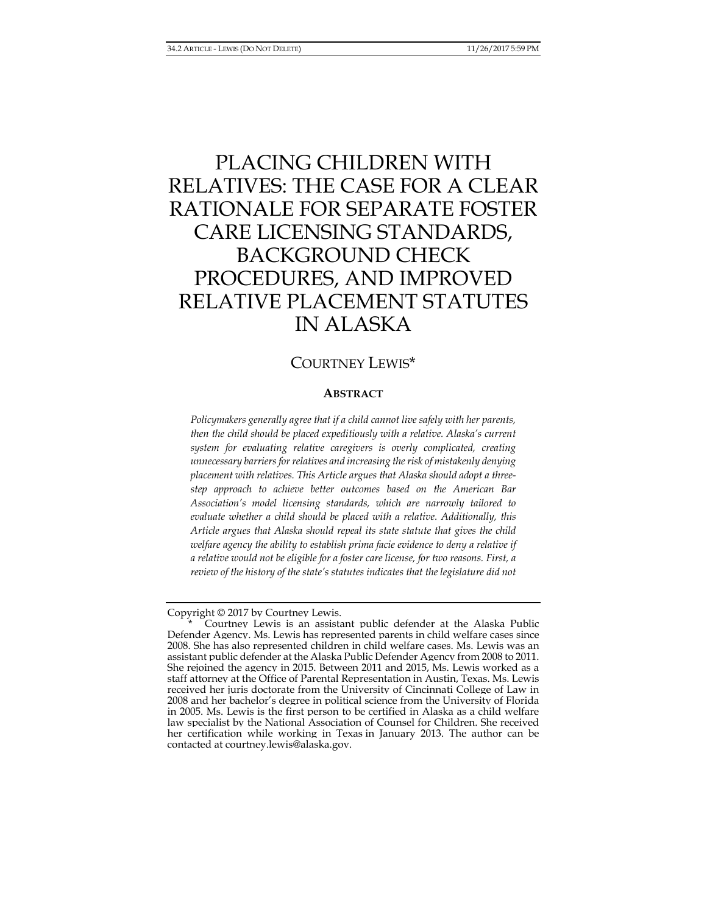# PLACING CHILDREN WITH RELATIVES: THE CASE FOR A CLEAR RATIONALE FOR SEPARATE FOSTER CARE LICENSING STANDARDS, BACKGROUND CHECK PROCEDURES, AND IMPROVED RELATIVE PLACEMENT STATUTES IN ALASKA

## COURTNEY LEWIS\*

## **ABSTRACT**

*Policymakers generally agree that if a child cannot live safely with her parents, then the child should be placed expeditiously with a relative. Alaska's current system for evaluating relative caregivers is overly complicated, creating unnecessary barriers for relatives and increasing the risk of mistakenly denying placement with relatives. This Article argues that Alaska should adopt a threestep approach to achieve better outcomes based on the American Bar Association's model licensing standards, which are narrowly tailored to evaluate whether a child should be placed with a relative. Additionally, this Article argues that Alaska should repeal its state statute that gives the child welfare agency the ability to establish prima facie evidence to deny a relative if a relative would not be eligible for a foster care license, for two reasons. First, a review of the history of the state's statutes indicates that the legislature did not* 

Copyright © 2017 by Courtney Lewis.

 <sup>\*</sup> Courtney Lewis is an assistant public defender at the Alaska Public Defender Agency. Ms. Lewis has represented parents in child welfare cases since 2008. She has also represented children in child welfare cases. Ms. Lewis was an assistant public defender at the Alaska Public Defender Agency from 2008 to 2011. She rejoined the agency in 2015. Between 2011 and 2015, Ms. Lewis worked as a staff attorney at the Office of Parental Representation in Austin, Texas. Ms. Lewis received her juris doctorate from the University of Cincinnati College of Law in 2008 and her bachelor's degree in political science from the University of Florida in 2005. Ms. Lewis is the first person to be certified in Alaska as a child welfare law specialist by the National Association of Counsel for Children. She received her certification while working in Texas in January 2013. The author can be contacted at courtney.lewis@alaska.gov.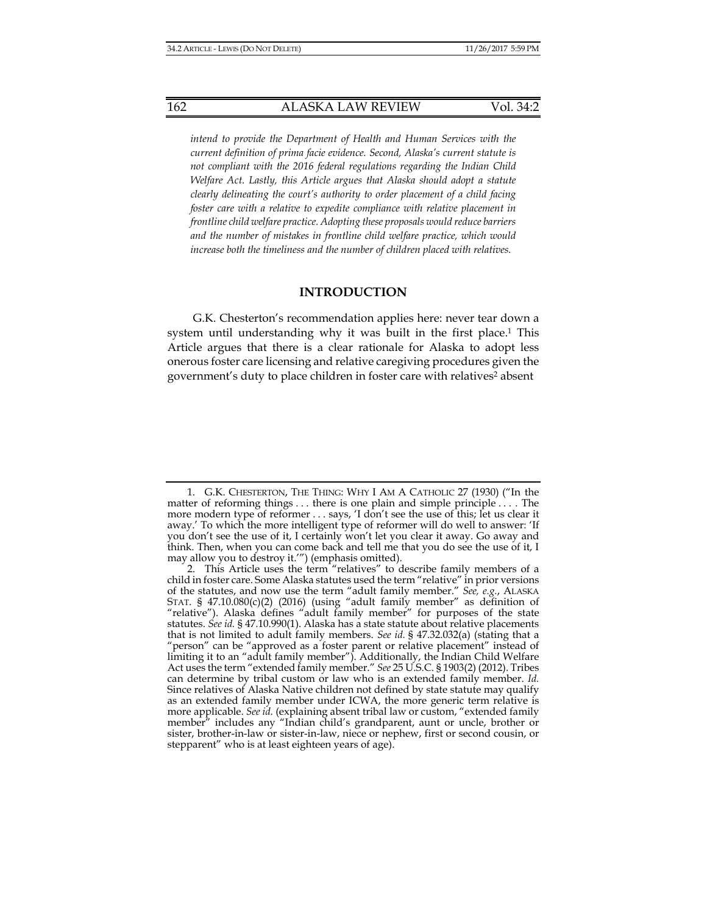*intend to provide the Department of Health and Human Services with the current definition of prima facie evidence. Second, Alaska's current statute is not compliant with the 2016 federal regulations regarding the Indian Child Welfare Act. Lastly, this Article argues that Alaska should adopt a statute clearly delineating the court's authority to order placement of a child facing foster care with a relative to expedite compliance with relative placement in frontline child welfare practice. Adopting these proposals would reduce barriers and the number of mistakes in frontline child welfare practice, which would increase both the timeliness and the number of children placed with relatives.* 

#### **INTRODUCTION**

G.K. Chesterton's recommendation applies here: never tear down a system until understanding why it was built in the first place.<sup>1</sup> This Article argues that there is a clear rationale for Alaska to adopt less onerous foster care licensing and relative caregiving procedures given the government's duty to place children in foster care with relatives<sup>2</sup> absent

 <sup>1.</sup> G.K. CHESTERTON, THE THING: WHY I AM A CATHOLIC 27 (1930) ("In the matter of reforming things . . . there is one plain and simple principle . . . . The more modern type of reformer . . . says, 'I don't see the use of this; let us clear it away.' To which the more intelligent type of reformer will do well to answer: 'If you don't see the use of it, I certainly won't let you clear it away. Go away and think. Then, when you can come back and tell me that you do see the use of it, I may allow you to destroy it.'") (emphasis omitted).

 <sup>2.</sup> This Article uses the term "relatives" to describe family members of a child in foster care. Some Alaska statutes used the term "relative" in prior versions of the statutes, and now use the term "adult family member." *See, e.g.*, ALASKA STAT. § 47.10.080(c)(2) (2016) (using "adult family member" as definition of "relative"). Alaska defines "adult family member" for purposes of the state statutes. *See id.* § 47.10.990(1). Alaska has a state statute about relative placements that is not limited to adult family members. *See id.* § 47.32.032(a) (stating that a "person" can be "approved as a foster parent or relative placement" instead of limiting it to an "adult family member"). Additionally, the Indian Child Welfare Act uses the term "extended family member." *See* 25 U.S.C. § 1903(2) (2012). Tribes can determine by tribal custom or law who is an extended family member. *Id.* Since relatives of Alaska Native children not defined by state statute may qualify as an extended family member under ICWA, the more generic term relative is more applicable. *See id.* (explaining absent tribal law or custom, "extended family member" includes any "Indian child's grandparent, aunt or uncle, brother or sister, brother-in-law or sister-in-law, niece or nephew, first or second cousin, or stepparent" who is at least eighteen years of age).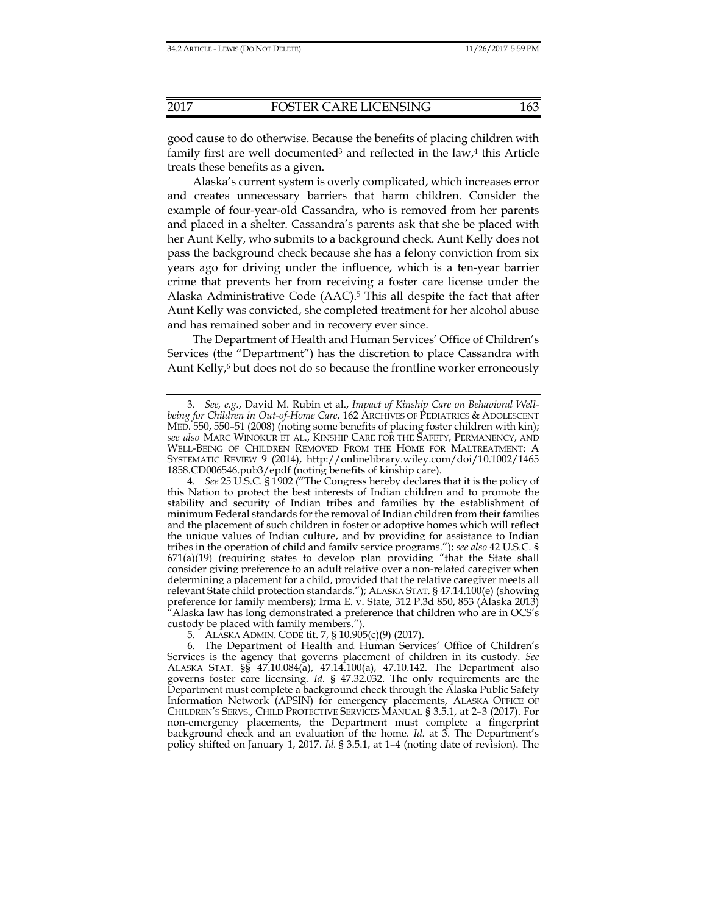good cause to do otherwise. Because the benefits of placing children with family first are well documented<sup>3</sup> and reflected in the law,<sup>4</sup> this Article treats these benefits as a given.

Alaska's current system is overly complicated, which increases error and creates unnecessary barriers that harm children. Consider the example of four-year-old Cassandra, who is removed from her parents and placed in a shelter. Cassandra's parents ask that she be placed with her Aunt Kelly, who submits to a background check. Aunt Kelly does not pass the background check because she has a felony conviction from six years ago for driving under the influence, which is a ten-year barrier crime that prevents her from receiving a foster care license under the Alaska Administrative Code (AAC).5 This all despite the fact that after Aunt Kelly was convicted, she completed treatment for her alcohol abuse and has remained sober and in recovery ever since.

The Department of Health and Human Services' Office of Children's Services (the "Department") has the discretion to place Cassandra with Aunt Kelly,<sup>6</sup> but does not do so because the frontline worker erroneously

 <sup>3.</sup> *See, e.g.*, David M. Rubin et al., *Impact of Kinship Care on Behavioral Wellbeing for Children in Out-of-Home Care*, 162 ARCHIVES OF PEDIATRICS & ADOLESCENT MED*.* 550, 550–51 (2008) (noting some benefits of placing foster children with kin); *see also* MARC WINOKUR ET AL., KINSHIP CARE FOR THE SAFETY, PERMANENCY, AND WELL-BEING OF CHILDREN REMOVED FROM THE HOME FOR MALTREATMENT: A SYSTEMATIC REVIEW 9 (2014), http://onlinelibrary.wiley.com/doi/10.1002/1465 1858.CD006546.pub3/epdf (noting benefits of kinship care).

 <sup>4.</sup> *See* 25 U.S.C. § 1902 ("The Congress hereby declares that it is the policy of this Nation to protect the best interests of Indian children and to promote the stability and security of Indian tribes and families by the establishment of minimum Federal standards for the removal of Indian children from their families and the placement of such children in foster or adoptive homes which will reflect the unique values of Indian culture, and by providing for assistance to Indian tribes in the operation of child and family service programs."); *see also* 42 U.S.C. §  $671(a)(19)$  (requiring states to develop plan providing "that the State shall consider giving preference to an adult relative over a non-related caregiver when determining a placement for a child, provided that the relative caregiver meets all relevant State child protection standards."); ALASKA STAT. § 47.14.100(e) (showing preference for family members); Irma E. v. State*,* 312 P.3d 850, 853 (Alaska 2013) "Alaska law has long demonstrated a preference that children who are in OCS's custody be placed with family members.").

 <sup>5.</sup> ALASKA ADMIN. CODE tit. 7, § 10.905(c)(9) (2017).

 <sup>6.</sup> The Department of Health and Human Services' Office of Children's Services is the agency that governs placement of children in its custody*. See* ALASKA STAT. §§ 47.10.084(a), 47.14.100(a), 47.10.142. The Department also governs foster care licensing. *Id.* § 47.32.032. The only requirements are the Department must complete a background check through the Alaska Public Safety Information Network (APSIN) for emergency placements, ALASKA OFFICE OF CHILDREN'S SERVS., CHILD PROTECTIVE SERVICES MANUAL § 3.5.1, at 2–3 (2017). For non-emergency placements, the Department must complete a fingerprint background check and an evaluation of the home*. Id.* at 3. The Department's policy shifted on January 1, 2017. *Id.* § 3.5.1, at 1–4 (noting date of revision). The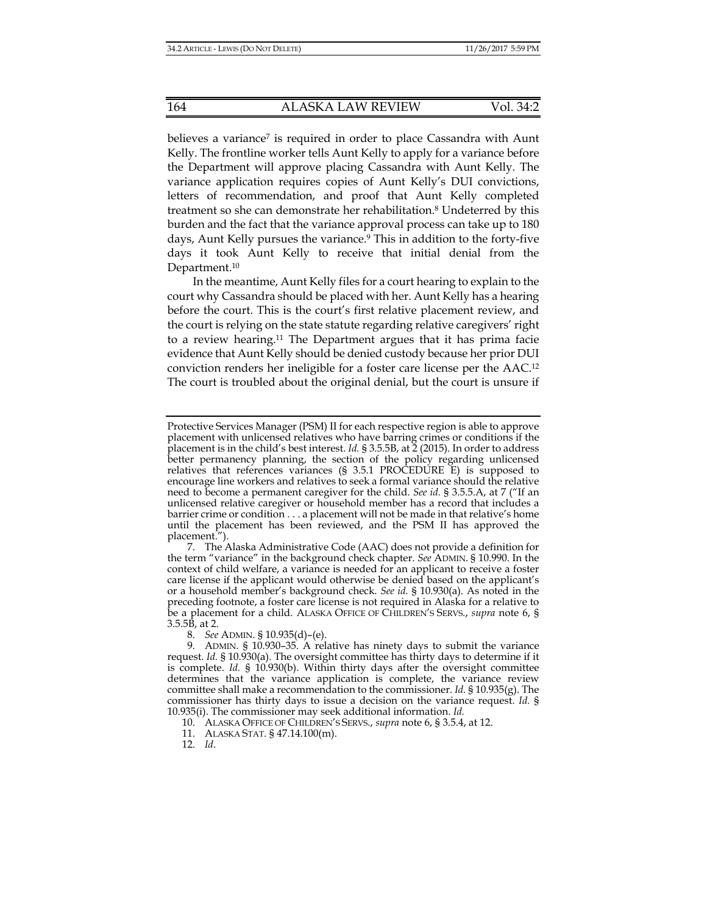believes a variance<sup>7</sup> is required in order to place Cassandra with Aunt Kelly. The frontline worker tells Aunt Kelly to apply for a variance before the Department will approve placing Cassandra with Aunt Kelly. The variance application requires copies of Aunt Kelly's DUI convictions, letters of recommendation, and proof that Aunt Kelly completed treatment so she can demonstrate her rehabilitation.8 Undeterred by this burden and the fact that the variance approval process can take up to 180 days, Aunt Kelly pursues the variance.9 This in addition to the forty-five days it took Aunt Kelly to receive that initial denial from the Department.<sup>10</sup>

In the meantime, Aunt Kelly files for a court hearing to explain to the court why Cassandra should be placed with her. Aunt Kelly has a hearing before the court. This is the court's first relative placement review, and the court is relying on the state statute regarding relative caregivers' right to a review hearing.11 The Department argues that it has prima facie evidence that Aunt Kelly should be denied custody because her prior DUI conviction renders her ineligible for a foster care license per the AAC.12 The court is troubled about the original denial, but the court is unsure if

Protective Services Manager (PSM) II for each respective region is able to approve placement with unlicensed relatives who have barring crimes or conditions if the placement is in the child's best interest. *Id.* § 3.5.5B, at 2 (2015). In order to address better permanency planning, the section of the policy regarding unlicensed relatives that references variances (§ 3.5.1 PROCEDURE E) is supposed to encourage line workers and relatives to seek a formal variance should the relative need to become a permanent caregiver for the child. *See id.* § 3.5.5.A, at 7 ("If an unlicensed relative caregiver or household member has a record that includes a barrier crime or condition . . . a placement will not be made in that relative's home until the placement has been reviewed, and the PSM II has approved the placement.").

 <sup>7.</sup> The Alaska Administrative Code (AAC) does not provide a definition for the term "variance" in the background check chapter. *See* ADMIN. § 10.990. In the context of child welfare, a variance is needed for an applicant to receive a foster care license if the applicant would otherwise be denied based on the applicant's or a household member's background check. *See id.* § 10.930(a). As noted in the preceding footnote, a foster care license is not required in Alaska for a relative to be a placement for a child. ALASKA OFFICE OF CHILDREN'S SERVS., *supra* note 6, § 3.5.5B, at 2.

 <sup>8.</sup> *See* ADMIN. § 10.935(d)–(e).

 <sup>9.</sup> ADMIN. § 10.930–35. A relative has ninety days to submit the variance request. *Id.* § 10.930(a). The oversight committee has thirty days to determine if it is complete. *Id.* § 10.930(b). Within thirty days after the oversight committee determines that the variance application is complete, the variance review committee shall make a recommendation to the commissioner. *Id.* § 10.935(g). The commissioner has thirty days to issue a decision on the variance request. *Id.* § 10.935(i). The commissioner may seek additional information. *Id.*

 <sup>10.</sup> ALASKA OFFICE OF CHILDREN'S SERVS., *supra* note 6, § 3.5.4, at 12.

 <sup>11.</sup> ALASKA STAT. § 47.14.100(m).

 <sup>12.</sup> *Id*.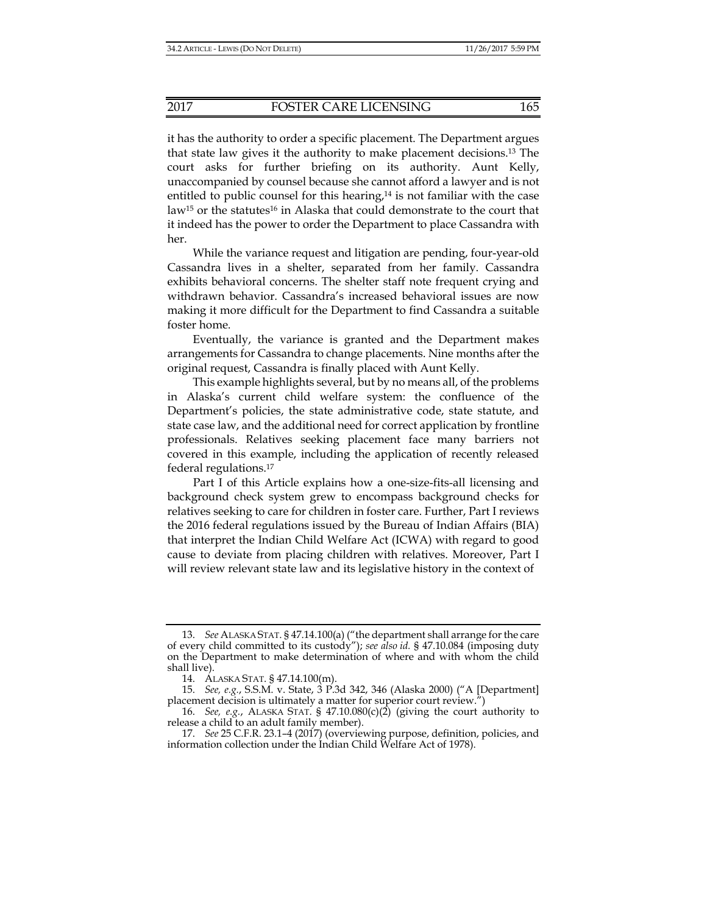it has the authority to order a specific placement. The Department argues that state law gives it the authority to make placement decisions.13 The court asks for further briefing on its authority. Aunt Kelly, unaccompanied by counsel because she cannot afford a lawyer and is not entitled to public counsel for this hearing,<sup>14</sup> is not familiar with the case law<sup>15</sup> or the statutes<sup>16</sup> in Alaska that could demonstrate to the court that it indeed has the power to order the Department to place Cassandra with her.

While the variance request and litigation are pending, four-year-old Cassandra lives in a shelter, separated from her family. Cassandra exhibits behavioral concerns. The shelter staff note frequent crying and withdrawn behavior. Cassandra's increased behavioral issues are now making it more difficult for the Department to find Cassandra a suitable foster home.

Eventually, the variance is granted and the Department makes arrangements for Cassandra to change placements. Nine months after the original request, Cassandra is finally placed with Aunt Kelly.

This example highlights several, but by no means all, of the problems in Alaska's current child welfare system: the confluence of the Department's policies, the state administrative code, state statute, and state case law, and the additional need for correct application by frontline professionals. Relatives seeking placement face many barriers not covered in this example, including the application of recently released federal regulations.17

Part I of this Article explains how a one-size-fits-all licensing and background check system grew to encompass background checks for relatives seeking to care for children in foster care. Further, Part I reviews the 2016 federal regulations issued by the Bureau of Indian Affairs (BIA) that interpret the Indian Child Welfare Act (ICWA) with regard to good cause to deviate from placing children with relatives. Moreover, Part I will review relevant state law and its legislative history in the context of

 <sup>13.</sup> *See* ALASKA STAT. § 47.14.100(a) ("the department shall arrange for the care of every child committed to its custody"); *see also id.* § 47.10.084 (imposing duty on the Department to make determination of where and with whom the child shall live).

 <sup>14.</sup> ALASKA STAT. § 47.14.100(m).

 <sup>15.</sup> *See, e.g.*, S.S.M. v. State, 3 P.3d 342, 346 (Alaska 2000) ("A [Department] placement decision is ultimately a matter for superior court review.")

 <sup>16.</sup> *See, e.g.*, ALASKA STAT. § 47.10.080(c)(2) (giving the court authority to release a child to an adult family member).

 <sup>17.</sup> *See* 25 C.F.R. 23.1–4 (2017) (overviewing purpose, definition, policies, and information collection under the Indian Child Welfare Act of 1978).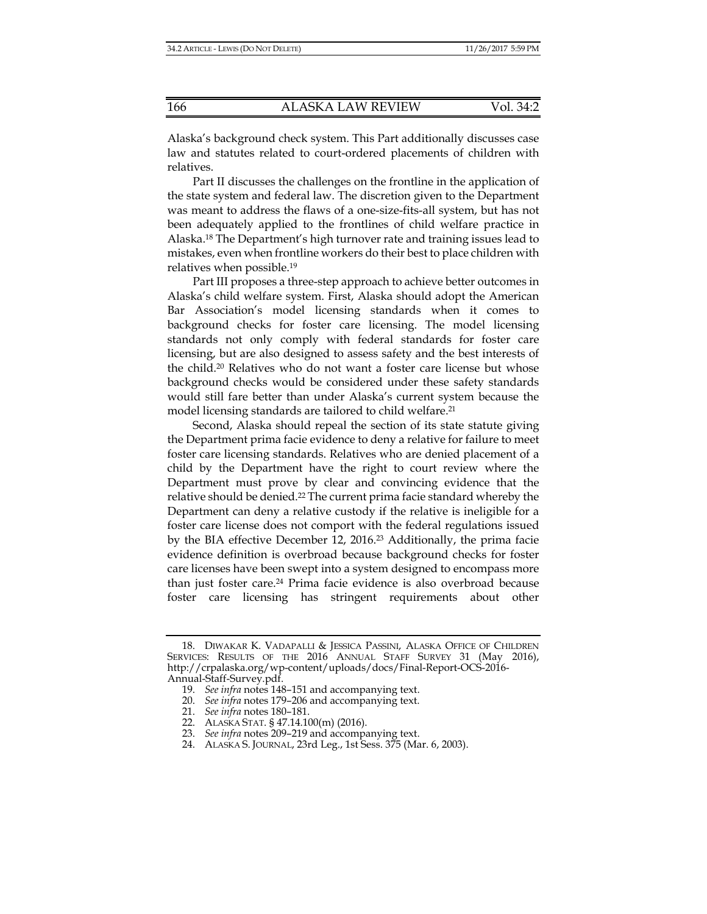Alaska's background check system. This Part additionally discusses case law and statutes related to court-ordered placements of children with relatives.

Part II discusses the challenges on the frontline in the application of the state system and federal law. The discretion given to the Department was meant to address the flaws of a one-size-fits-all system, but has not been adequately applied to the frontlines of child welfare practice in Alaska.18 The Department's high turnover rate and training issues lead to mistakes, even when frontline workers do their best to place children with relatives when possible.19

Part III proposes a three-step approach to achieve better outcomes in Alaska's child welfare system. First, Alaska should adopt the American Bar Association's model licensing standards when it comes to background checks for foster care licensing. The model licensing standards not only comply with federal standards for foster care licensing, but are also designed to assess safety and the best interests of the child.20 Relatives who do not want a foster care license but whose background checks would be considered under these safety standards would still fare better than under Alaska's current system because the model licensing standards are tailored to child welfare.21

Second, Alaska should repeal the section of its state statute giving the Department prima facie evidence to deny a relative for failure to meet foster care licensing standards. Relatives who are denied placement of a child by the Department have the right to court review where the Department must prove by clear and convincing evidence that the relative should be denied.22 The current prima facie standard whereby the Department can deny a relative custody if the relative is ineligible for a foster care license does not comport with the federal regulations issued by the BIA effective December 12, 2016.23 Additionally, the prima facie evidence definition is overbroad because background checks for foster care licenses have been swept into a system designed to encompass more than just foster care.24 Prima facie evidence is also overbroad because foster care licensing has stringent requirements about other

23. *See infra* notes 209–219 and accompanying text.

 <sup>18.</sup> DIWAKAR K. VADAPALLI & JESSICA PASSINI, ALASKA OFFICE OF CHILDREN SERVICES: RESULTS OF THE 2016 ANNUAL STAFF SURVEY 31 (May 2016), http://crpalaska.org/wp-content/uploads/docs/Final-Report-OCS-2016- Annual-Staff-Survey.pdf.

 <sup>19.</sup> *See infra* notes 148–151 and accompanying text.

 <sup>20.</sup> *See infra* notes 179–206 and accompanying text.

 <sup>21.</sup> *See infra* notes 180–181.

 <sup>22.</sup> ALASKA STAT. § 47.14.100(m) (2016).

 <sup>24.</sup> ALASKA S. JOURNAL, 23rd Leg., 1st Sess. 375 (Mar. 6, 2003).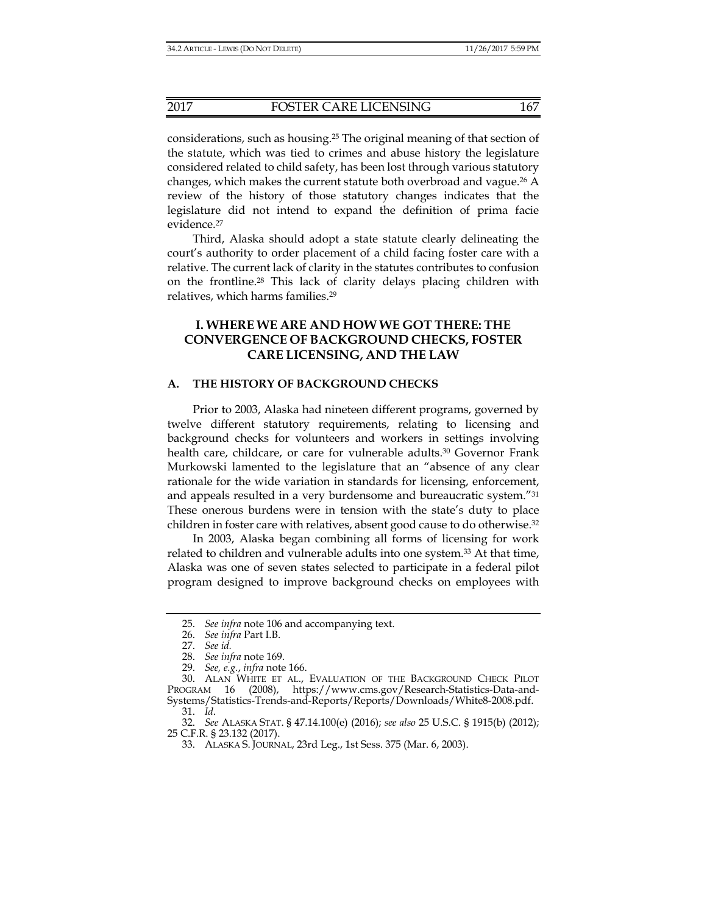considerations, such as housing.25 The original meaning of that section of the statute, which was tied to crimes and abuse history the legislature considered related to child safety, has been lost through various statutory changes, which makes the current statute both overbroad and vague.26 A review of the history of those statutory changes indicates that the legislature did not intend to expand the definition of prima facie evidence.27

Third, Alaska should adopt a state statute clearly delineating the court's authority to order placement of a child facing foster care with a relative. The current lack of clarity in the statutes contributes to confusion on the frontline.28 This lack of clarity delays placing children with relatives, which harms families.29

## **I. WHERE WE ARE AND HOW WE GOT THERE: THE CONVERGENCE OF BACKGROUND CHECKS, FOSTER CARE LICENSING, AND THE LAW**

## **A. THE HISTORY OF BACKGROUND CHECKS**

Prior to 2003, Alaska had nineteen different programs, governed by twelve different statutory requirements, relating to licensing and background checks for volunteers and workers in settings involving health care, childcare, or care for vulnerable adults.<sup>30</sup> Governor Frank Murkowski lamented to the legislature that an "absence of any clear rationale for the wide variation in standards for licensing, enforcement, and appeals resulted in a very burdensome and bureaucratic system."31 These onerous burdens were in tension with the state's duty to place children in foster care with relatives, absent good cause to do otherwise.32

In 2003, Alaska began combining all forms of licensing for work related to children and vulnerable adults into one system.33 At that time, Alaska was one of seven states selected to participate in a federal pilot program designed to improve background checks on employees with

 <sup>25.</sup> *See infra* note 106 and accompanying text.

 <sup>26.</sup> *See infra* Part I.B.

 <sup>27.</sup> *See id.*

 <sup>28.</sup> *See infra* note 169.

 <sup>29.</sup> *See, e.g.*, *infra* note 166.

 <sup>30.</sup> ALAN WHITE ET AL., EVALUATION OF THE BACKGROUND CHECK PILOT PROGRAM 16 (2008), https://www.cms.gov/Research-Statistics-Data-and-Systems/Statistics-Trends-and-Reports/Reports/Downloads/White8-2008.pdf. 31. *Id*.

 <sup>32.</sup> *See* ALASKA STAT. § 47.14.100(e) (2016); *see also* 25 U.S.C. § 1915(b) (2012); 25 C.F.R. § 23.132 (2017).

 <sup>33.</sup> ALASKA S. JOURNAL, 23rd Leg., 1st Sess. 375 (Mar. 6, 2003).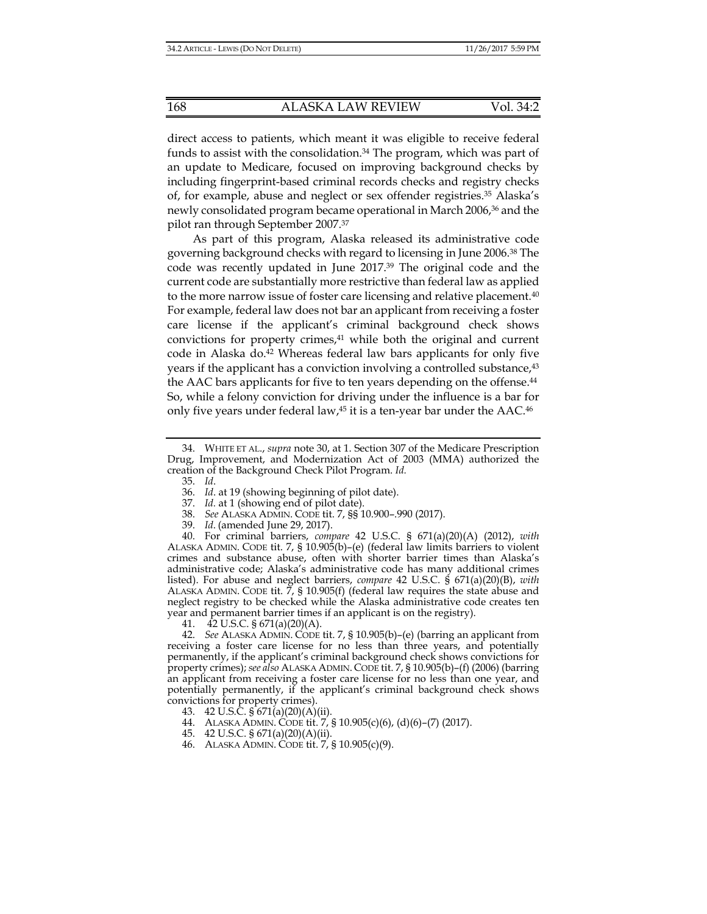direct access to patients, which meant it was eligible to receive federal funds to assist with the consolidation.34 The program, which was part of an update to Medicare, focused on improving background checks by including fingerprint-based criminal records checks and registry checks of, for example, abuse and neglect or sex offender registries.35 Alaska's newly consolidated program became operational in March 2006,36 and the pilot ran through September 2007.37

As part of this program, Alaska released its administrative code governing background checks with regard to licensing in June 2006.38 The code was recently updated in June 2017.39 The original code and the current code are substantially more restrictive than federal law as applied to the more narrow issue of foster care licensing and relative placement.40 For example, federal law does not bar an applicant from receiving a foster care license if the applicant's criminal background check shows convictions for property crimes,<sup>41</sup> while both the original and current code in Alaska do.<sup>42</sup> Whereas federal law bars applicants for only five years if the applicant has a conviction involving a controlled substance,<sup>43</sup> the AAC bars applicants for five to ten years depending on the offense.<sup>44</sup> So, while a felony conviction for driving under the influence is a bar for only five years under federal law,45 it is a ten-year bar under the AAC.46

35. *Id*.

- 37. *Id.* at 1 (showing end of pilot date).
- 38. *See* ALASKA ADMIN. CODE tit. 7, §§ 10.900–.990 (2017).
- 39. *Id*. (amended June 29, 2017).

 40. For criminal barriers, *compare* 42 U.S.C. § 671(a)(20)(A) (2012), *with* ALASKA ADMIN. CODE tit. 7, § 10.905(b)–(e) (federal law limits barriers to violent crimes and substance abuse, often with shorter barrier times than Alaska's administrative code; Alaska's administrative code has many additional crimes listed). For abuse and neglect barriers, *compare* 42 U.S.C. § 671(a)(20)(B), *with* ALASKA ADMIN. CODE tit.  $\overline{7}$ , § 10.905(f) (federal law requires the state abuse and neglect registry to be checked while the Alaska administrative code creates ten year and permanent barrier times if an applicant is on the registry).

41. 42 U.S.C. § 671(a)(20)(A).

 42. *See* ALASKA ADMIN. CODE tit. 7, § 10.905(b)–(e) (barring an applicant from receiving a foster care license for no less than three years, and potentially permanently, if the applicant's criminal background check shows convictions for property crimes); *see also* ALASKA ADMIN. CODE tit. 7, § 10.905(b)–(f) (2006) (barring an applicant from receiving a foster care license for no less than one year, and potentially permanently, if the applicant's criminal background check shows convictions for property crimes).

- 43. 42 U.S.C.  $\frac{1}{9}$  671(a)(20)(A)(ii).
- 44. ALASKA ADMIN. CODE tit. 7, § 10.905(c)(6), (d)(6)–(7) (2017).
- 45. 42 U.S.C. § 671(a)(20)(A)(ii).
- 46. ALASKA ADMIN. CODE tit. 7, § 10.905(c)(9).

 <sup>34.</sup> WHITE ET AL., *supra* note 30, at 1. Section 307 of the Medicare Prescription Drug, Improvement, and Modernization Act of 2003 (MMA) authorized the creation of the Background Check Pilot Program. *Id.*

 <sup>36.</sup> *Id*. at 19 (showing beginning of pilot date).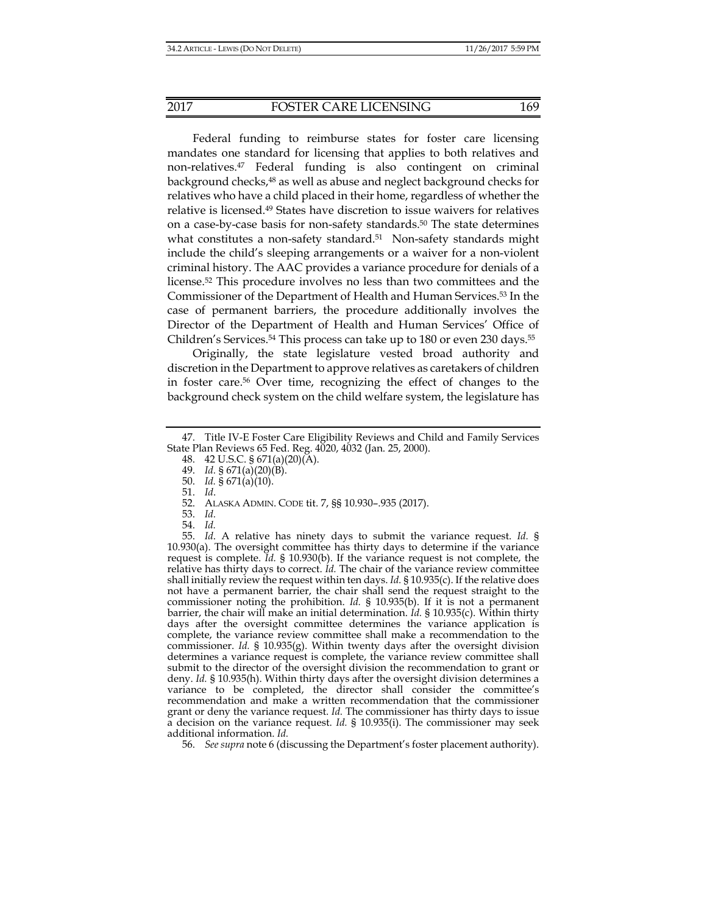Federal funding to reimburse states for foster care licensing mandates one standard for licensing that applies to both relatives and non-relatives.47 Federal funding is also contingent on criminal background checks,48 as well as abuse and neglect background checks for relatives who have a child placed in their home, regardless of whether the relative is licensed.49 States have discretion to issue waivers for relatives on a case-by-case basis for non-safety standards.50 The state determines what constitutes a non-safety standard.<sup>51</sup> Non-safety standards might include the child's sleeping arrangements or a waiver for a non-violent criminal history. The AAC provides a variance procedure for denials of a license.52 This procedure involves no less than two committees and the Commissioner of the Department of Health and Human Services.53 In the case of permanent barriers, the procedure additionally involves the Director of the Department of Health and Human Services' Office of Children's Services.<sup>54</sup> This process can take up to 180 or even 230 days.<sup>55</sup>

Originally, the state legislature vested broad authority and discretion in the Department to approve relatives as caretakers of children in foster care.56 Over time, recognizing the effect of changes to the background check system on the child welfare system, the legislature has

48. 42 U.S.C. § 671(a)(20)(A).

50. *Id.* § 671(a)(10).

51. *Id*.

 55. *Id*. A relative has ninety days to submit the variance request. *Id.* § 10.930(a). The oversight committee has thirty days to determine if the variance request is complete. *Id.* § 10.930(b). If the variance request is not complete, the relative has thirty days to correct. *Id.* The chair of the variance review committee shall initially review the request within ten days. *Id.* § 10.935(c). If the relative does not have a permanent barrier, the chair shall send the request straight to the commissioner noting the prohibition. *Id.* § 10.935(b). If it is not a permanent barrier, the chair will make an initial determination. *Id.* § 10.935(c). Within thirty days after the oversight committee determines the variance application is complete, the variance review committee shall make a recommendation to the commissioner. *Id.* § 10.935(g). Within twenty days after the oversight division determines a variance request is complete, the variance review committee shall submit to the director of the oversight division the recommendation to grant or deny. *Id.* § 10.935(h). Within thirty days after the oversight division determines a variance to be completed, the director shall consider the committee's recommendation and make a written recommendation that the commissioner grant or deny the variance request. *Id.* The commissioner has thirty days to issue a decision on the variance request. *Id.* § 10.935(i). The commissioner may seek additional information. *Id.*

56. *See supra* note 6 (discussing the Department's foster placement authority).

 <sup>47.</sup> Title IV-E Foster Care Eligibility Reviews and Child and Family Services State Plan Reviews 65 Fed. Reg. 4020, 4032 (Jan. 25, 2000).

 <sup>49.</sup> *Id.* § 671(a)(20)(B).

 <sup>52.</sup> ALASKA ADMIN. CODE tit. 7, §§ 10.930–.935 (2017).

 <sup>53.</sup> *Id.*

 <sup>54.</sup> *Id.*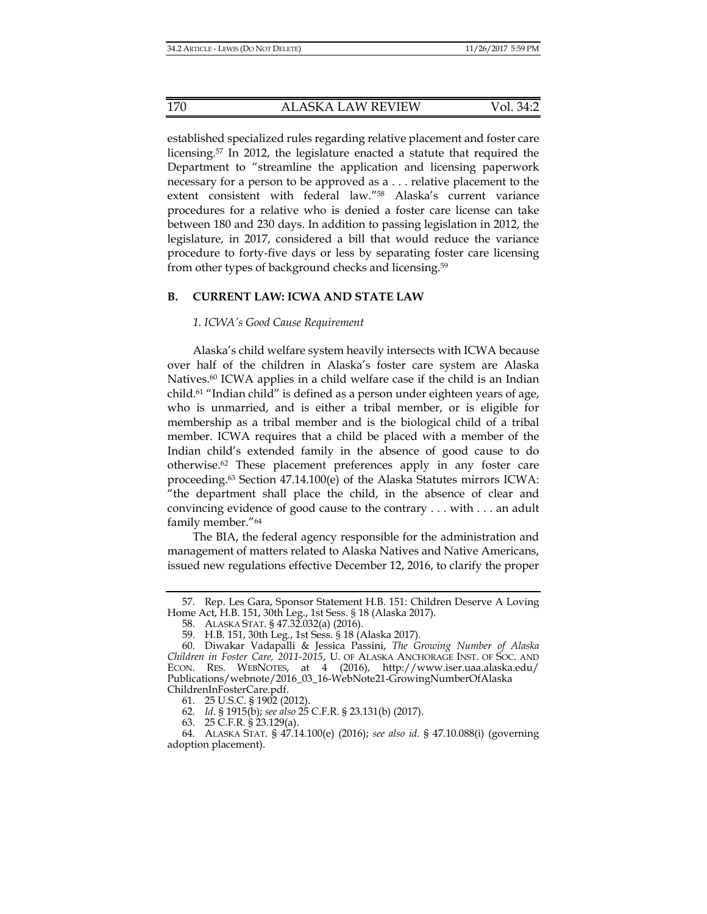established specialized rules regarding relative placement and foster care licensing.57 In 2012, the legislature enacted a statute that required the Department to "streamline the application and licensing paperwork necessary for a person to be approved as a . . . relative placement to the extent consistent with federal law."58 Alaska's current variance procedures for a relative who is denied a foster care license can take between 180 and 230 days. In addition to passing legislation in 2012, the legislature, in 2017, considered a bill that would reduce the variance procedure to forty-five days or less by separating foster care licensing from other types of background checks and licensing.59

#### **B. CURRENT LAW: ICWA AND STATE LAW**

#### *1. ICWA's Good Cause Requirement*

Alaska's child welfare system heavily intersects with ICWA because over half of the children in Alaska's foster care system are Alaska Natives.<sup>60</sup> ICWA applies in a child welfare case if the child is an Indian child.61 "Indian child" is defined as a person under eighteen years of age, who is unmarried, and is either a tribal member, or is eligible for membership as a tribal member and is the biological child of a tribal member. ICWA requires that a child be placed with a member of the Indian child's extended family in the absence of good cause to do otherwise.62 These placement preferences apply in any foster care proceeding.63 Section 47.14.100(e) of the Alaska Statutes mirrors ICWA: "the department shall place the child, in the absence of clear and convincing evidence of good cause to the contrary . . . with . . . an adult family member."64

The BIA, the federal agency responsible for the administration and management of matters related to Alaska Natives and Native Americans, issued new regulations effective December 12, 2016, to clarify the proper

61. 25 U.S.C. § 1902 (2012).

62. *Id.* § 1915(b); *see also* 25 C.F.R. § 23.131(b) (2017).

63. 25 C.F.R. § 23.129(a).

 <sup>57.</sup> Rep. Les Gara, Sponsor Statement H.B. 151: Children Deserve A Loving Home Act, H.B. 151, 30th Leg., 1st Sess. § 18 (Alaska 2017).

 <sup>58.</sup> ALASKA STAT. § 47.32.032(a) (2016).

 <sup>59.</sup> H.B. 151, 30th Leg., 1st Sess. § 18 (Alaska 2017).

 <sup>60.</sup> Diwakar Vadapalli & Jessica Passini, *The Growing Number of Alaska Children in Foster Care, 2011-2015*, U. OF ALASKA ANCHORAGE INST. OF SOC. AND ECON. RES. WEBNOTES, at 4 (2016), http://www.iser.uaa.alaska.edu/ Publications/webnote/2016\_03\_16-WebNote21-GrowingNumberOfAlaska ChildrenInFosterCare.pdf.

 <sup>64.</sup> ALASKA STAT. § 47.14.100(e) (2016); *see also id.* § 47.10.088(i) (governing adoption placement).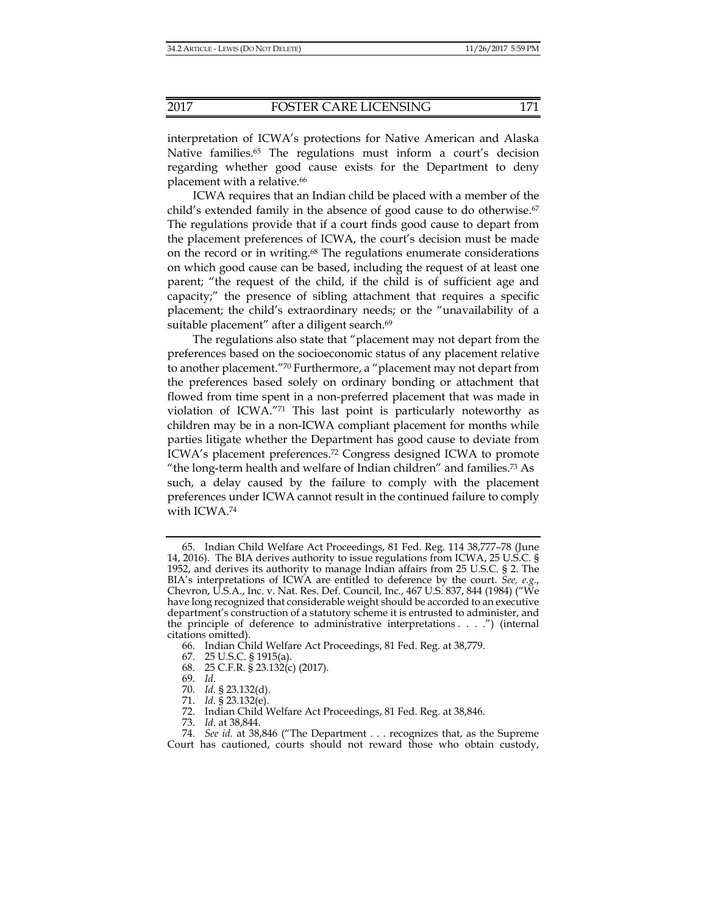interpretation of ICWA's protections for Native American and Alaska Native families.65 The regulations must inform a court's decision regarding whether good cause exists for the Department to deny placement with a relative.<sup>66</sup>

ICWA requires that an Indian child be placed with a member of the child's extended family in the absence of good cause to do otherwise.<sup>67</sup> The regulations provide that if a court finds good cause to depart from the placement preferences of ICWA, the court's decision must be made on the record or in writing.68 The regulations enumerate considerations on which good cause can be based, including the request of at least one parent; "the request of the child, if the child is of sufficient age and capacity;" the presence of sibling attachment that requires a specific placement; the child's extraordinary needs; or the "unavailability of a suitable placement" after a diligent search.<sup>69</sup>

The regulations also state that "placement may not depart from the preferences based on the socioeconomic status of any placement relative to another placement."70 Furthermore, a "placement may not depart from the preferences based solely on ordinary bonding or attachment that flowed from time spent in a non-preferred placement that was made in violation of ICWA."71 This last point is particularly noteworthy as children may be in a non-ICWA compliant placement for months while parties litigate whether the Department has good cause to deviate from ICWA's placement preferences.72 Congress designed ICWA to promote "the long-term health and welfare of Indian children" and families.73 As such, a delay caused by the failure to comply with the placement preferences under ICWA cannot result in the continued failure to comply with ICWA.74

- 68. 25 C.F.R. § 23.132(c) (2017).
- 69. *Id*.
	- 70. *Id*. § 23.132(d).
	- 71. *Id*. § 23.132(e).

 <sup>65.</sup> Indian Child Welfare Act Proceedings, 81 Fed. Reg. 114 38,777–78 (June 14, 2016). The BIA derives authority to issue regulations from ICWA, 25 U.S.C. § 1952, and derives its authority to manage Indian affairs from 25 U.S.C. § 2. The BIA's interpretations of ICWA are entitled to deference by the court. *See, e.g.*, Chevron, U.S.A., Inc. v. Nat. Res. Def. Council, Inc*.*, 467 U.S. 837, 844 (1984) ("We have long recognized that considerable weight should be accorded to an executive department's construction of a statutory scheme it is entrusted to administer, and the principle of deference to administrative interpretations . . . .") (internal citations omitted).

 <sup>66.</sup> Indian Child Welfare Act Proceedings, 81 Fed. Reg. at 38,779.

 <sup>67. 25</sup> U.S.C. § 1915(a).

 <sup>72.</sup> Indian Child Welfare Act Proceedings, 81 Fed. Reg. at 38,846.

 <sup>73.</sup> *Id*. at 38,844.

 <sup>74.</sup> *See id.* at 38,846 ("The Department . . . recognizes that, as the Supreme Court has cautioned, courts should not reward those who obtain custody,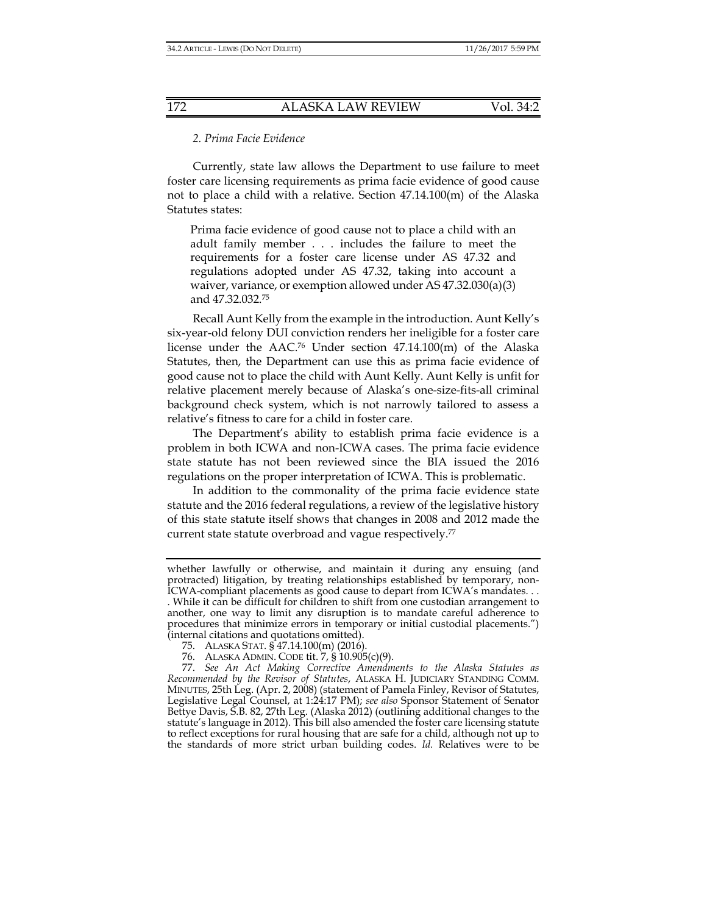#### *2. Prima Facie Evidence*

Currently, state law allows the Department to use failure to meet foster care licensing requirements as prima facie evidence of good cause not to place a child with a relative. Section 47.14.100(m) of the Alaska Statutes states:

Prima facie evidence of good cause not to place a child with an adult family member . . . includes the failure to meet the requirements for a foster care license under AS 47.32 and regulations adopted under AS 47.32, taking into account a waiver, variance, or exemption allowed under AS 47.32.030(a)(3) and 47.32.032.75

Recall Aunt Kelly from the example in the introduction. Aunt Kelly's six-year-old felony DUI conviction renders her ineligible for a foster care license under the  $AAC$ <sup>76</sup> Under section  $47.14.100(m)$  of the Alaska Statutes, then, the Department can use this as prima facie evidence of good cause not to place the child with Aunt Kelly. Aunt Kelly is unfit for relative placement merely because of Alaska's one-size-fits-all criminal background check system, which is not narrowly tailored to assess a relative's fitness to care for a child in foster care.

The Department's ability to establish prima facie evidence is a problem in both ICWA and non-ICWA cases. The prima facie evidence state statute has not been reviewed since the BIA issued the 2016 regulations on the proper interpretation of ICWA. This is problematic.

In addition to the commonality of the prima facie evidence state statute and the 2016 federal regulations, a review of the legislative history of this state statute itself shows that changes in 2008 and 2012 made the current state statute overbroad and vague respectively.77

whether lawfully or otherwise, and maintain it during any ensuing (and protracted) litigation, by treating relationships established by temporary, non-ICWA-compliant placements as good cause to depart from ICWA's mandates. . . . While it can be difficult for children to shift from one custodian arrangement to

another, one way to limit any disruption is to mandate careful adherence to procedures that minimize errors in temporary or initial custodial placements.") (internal citations and quotations omitted).

 <sup>75.</sup> ALASKA STAT. § 47.14.100(m) (2016).

 <sup>76.</sup> ALASKA ADMIN. CODE tit. 7, § 10.905(c)(9).

 <sup>77.</sup> *See An Act Making Corrective Amendments to the Alaska Statutes as Recommended by the Revisor of Statutes*, ALASKA H. JUDICIARY STANDING COMM. MINUTES, 25th Leg. (Apr. 2, 2008) (statement of Pamela Finley, Revisor of Statutes, Legislative Legal Counsel, at 1:24:17 PM); *see also* Sponsor Statement of Senator Bettye Davis, S.B. 82, 27th Leg. (Alaska 2012) (outlining additional changes to the statute's language in 2012). This bill also amended the foster care licensing statute to reflect exceptions for rural housing that are safe for a child, although not up to the standards of more strict urban building codes. *Id.* Relatives were to be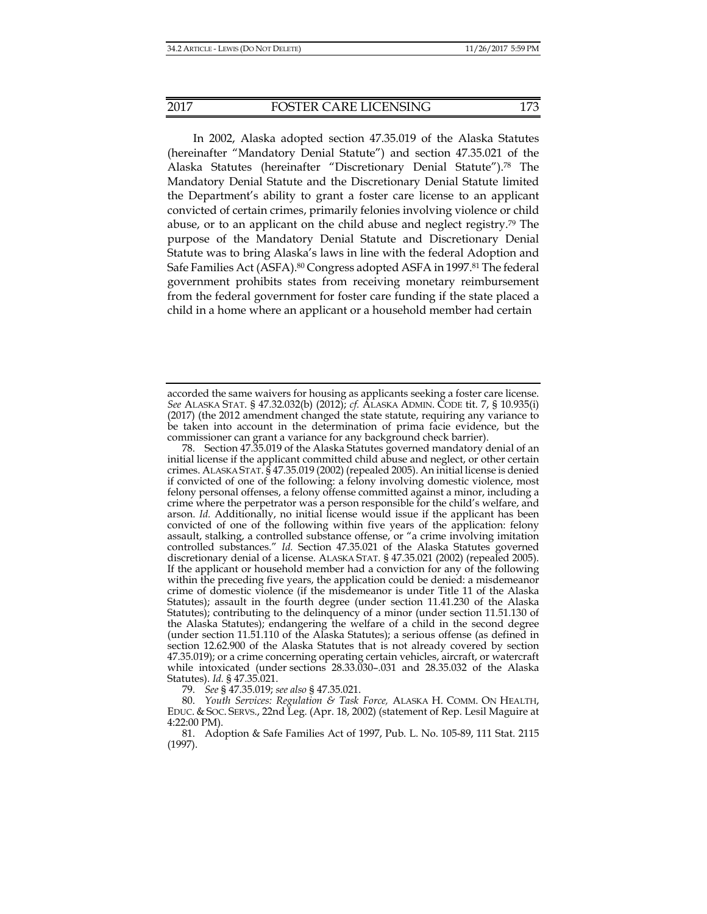In 2002, Alaska adopted section 47.35.019 of the Alaska Statutes (hereinafter "Mandatory Denial Statute") and section 47.35.021 of the Alaska Statutes (hereinafter "Discretionary Denial Statute").78 The Mandatory Denial Statute and the Discretionary Denial Statute limited the Department's ability to grant a foster care license to an applicant convicted of certain crimes, primarily felonies involving violence or child abuse, or to an applicant on the child abuse and neglect registry.79 The purpose of the Mandatory Denial Statute and Discretionary Denial Statute was to bring Alaska's laws in line with the federal Adoption and Safe Families Act (ASFA).<sup>80</sup> Congress adopted ASFA in 1997.<sup>81</sup> The federal government prohibits states from receiving monetary reimbursement from the federal government for foster care funding if the state placed a child in a home where an applicant or a household member had certain

 78. Section 47.35.019 of the Alaska Statutes governed mandatory denial of an initial license if the applicant committed child abuse and neglect, or other certain crimes. ALASKA STAT. § 47.35.019 (2002) (repealed 2005). An initial license is denied if convicted of one of the following: a felony involving domestic violence, most felony personal offenses, a felony offense committed against a minor, including a crime where the perpetrator was a person responsible for the child's welfare, and arson. *Id.* Additionally, no initial license would issue if the applicant has been convicted of one of the following within five years of the application: felony assault, stalking, a controlled substance offense, or "a crime involving imitation controlled substances." *Id.* Section 47.35.021 of the Alaska Statutes governed discretionary denial of a license. ALASKA STAT. § 47.35.021 (2002) (repealed 2005). If the applicant or household member had a conviction for any of the following within the preceding five years, the application could be denied: a misdemeanor crime of domestic violence (if the misdemeanor is under Title 11 of the Alaska Statutes); assault in the fourth degree (under section 11.41.230 of the Alaska Statutes); contributing to the delinquency of a minor (under section 11.51.130 of the Alaska Statutes); endangering the welfare of a child in the second degree (under section 11.51.110 of the Alaska Statutes); a serious offense (as defined in section 12.62.900 of the Alaska Statutes that is not already covered by section 47.35.019); or a crime concerning operating certain vehicles, aircraft, or watercraft while intoxicated (under sections 28.33.030–.031 and 28.35.032 of the Alaska Statutes). *Id.* § 47.35.021.

79. *See* § 47.35.019; *see also* § 47.35.021.

 80. *Youth Services: Regulation & Task Force,* ALASKA H. COMM. ON HEALTH, EDUC. & SOC. SERVS., 22nd Leg. (Apr. 18, 2002) (statement of Rep. Lesil Maguire at 4:22:00 PM).

 81. Adoption & Safe Families Act of 1997, Pub. L. No. 105-89, 111 Stat. 2115 (1997).

accorded the same waivers for housing as applicants seeking a foster care license. *See* ALASKA STAT. § 47.32.032(b) (2012); *cf.* ALASKA ADMIN. CODE tit. 7, § 10.935(i) (2017) (the 2012 amendment changed the state statute, requiring any variance to be taken into account in the determination of prima facie evidence, but the commissioner can grant a variance for any background check barrier).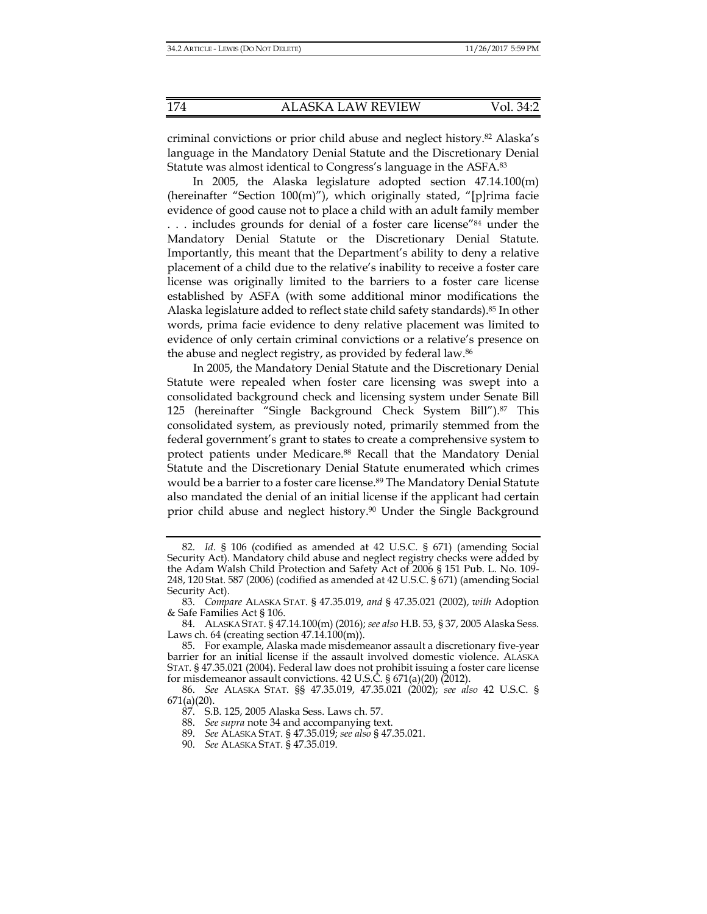criminal convictions or prior child abuse and neglect history.82 Alaska's language in the Mandatory Denial Statute and the Discretionary Denial Statute was almost identical to Congress's language in the ASFA.83

In 2005, the Alaska legislature adopted section 47.14.100(m) (hereinafter "Section 100(m)"), which originally stated, "[p]rima facie evidence of good cause not to place a child with an adult family member . . . includes grounds for denial of a foster care license"84 under the Mandatory Denial Statute or the Discretionary Denial Statute. Importantly, this meant that the Department's ability to deny a relative placement of a child due to the relative's inability to receive a foster care license was originally limited to the barriers to a foster care license established by ASFA (with some additional minor modifications the Alaska legislature added to reflect state child safety standards).<sup>85</sup> In other words, prima facie evidence to deny relative placement was limited to evidence of only certain criminal convictions or a relative's presence on the abuse and neglect registry, as provided by federal law.86

In 2005, the Mandatory Denial Statute and the Discretionary Denial Statute were repealed when foster care licensing was swept into a consolidated background check and licensing system under Senate Bill 125 (hereinafter "Single Background Check System Bill").87 This consolidated system, as previously noted, primarily stemmed from the federal government's grant to states to create a comprehensive system to protect patients under Medicare.<sup>88</sup> Recall that the Mandatory Denial Statute and the Discretionary Denial Statute enumerated which crimes would be a barrier to a foster care license.<sup>89</sup> The Mandatory Denial Statute also mandated the denial of an initial license if the applicant had certain prior child abuse and neglect history.90 Under the Single Background

 <sup>82.</sup> *Id*. § 106 (codified as amended at 42 U.S.C. § 671) (amending Social Security Act). Mandatory child abuse and neglect registry checks were added by the Adam Walsh Child Protection and Safety Act of 2006 § 151 Pub. L. No. 109- 248, 120 Stat. 587 (2006) (codified as amended at 42 U.S.C. § 671) (amending Social Security Act).

 <sup>83.</sup> *Compare* ALASKA STAT. § 47.35.019, *and* § 47.35.021 (2002), *with* Adoption & Safe Families Act § 106.

 <sup>84.</sup> ALASKA STAT. § 47.14.100(m) (2016); *see also* H.B. 53, § 37, 2005 Alaska Sess. Laws ch. 64 (creating section 47.14.100(m)).

 <sup>85.</sup> For example, Alaska made misdemeanor assault a discretionary five-year barrier for an initial license if the assault involved domestic violence. ALASKA STAT. § 47.35.021 (2004). Federal law does not prohibit issuing a foster care license for misdemeanor assault convictions.  $42 \text{ U.S.}$ C.  $\frac{2}{3}$  671(a)(20) (2012).

 <sup>86.</sup> *See* ALASKA STAT. §§ 47.35.019, 47.35.021 (2002); *see also* 42 U.S.C. § 671(a)(20).

 <sup>87.</sup> S.B. 125, 2005 Alaska Sess. Laws ch. 57.

 <sup>88.</sup> *See supra* note 34 and accompanying text.

 <sup>89.</sup> *See* ALASKA STAT. § 47.35.019; *see also* § 47.35.021.

 <sup>90.</sup> *See* ALASKA STAT. § 47.35.019.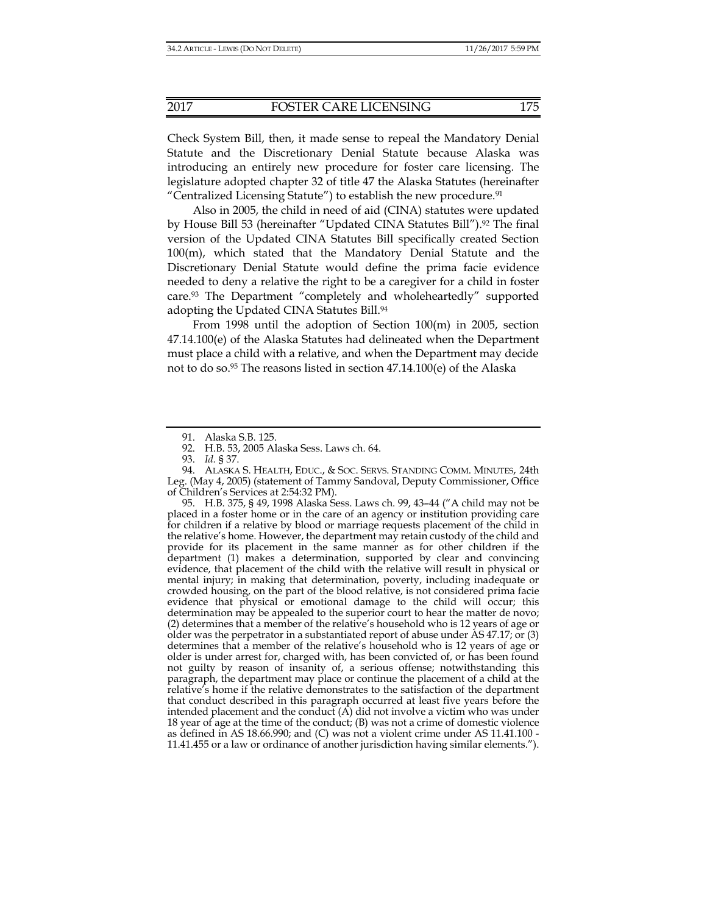Check System Bill, then, it made sense to repeal the Mandatory Denial Statute and the Discretionary Denial Statute because Alaska was introducing an entirely new procedure for foster care licensing. The legislature adopted chapter 32 of title 47 the Alaska Statutes (hereinafter "Centralized Licensing Statute") to establish the new procedure.91

Also in 2005, the child in need of aid (CINA) statutes were updated by House Bill 53 (hereinafter "Updated CINA Statutes Bill").<sup>92</sup> The final version of the Updated CINA Statutes Bill specifically created Section 100(m), which stated that the Mandatory Denial Statute and the Discretionary Denial Statute would define the prima facie evidence needed to deny a relative the right to be a caregiver for a child in foster care.93 The Department "completely and wholeheartedly" supported adopting the Updated CINA Statutes Bill.94

From 1998 until the adoption of Section 100(m) in 2005, section 47.14.100(e) of the Alaska Statutes had delineated when the Department must place a child with a relative, and when the Department may decide not to do so.95 The reasons listed in section 47.14.100(e) of the Alaska

 94. ALASKA S. HEALTH, EDUC., & SOC. SERVS. STANDING COMM. MINUTES, 24th Leg. (May 4, 2005) (statement of Tammy Sandoval, Deputy Commissioner, Office of Children's Services at 2:54:32 PM).

 95. H.B. 375, § 49, 1998 Alaska Sess. Laws ch. 99, 43–44 ("A child may not be placed in a foster home or in the care of an agency or institution providing care for children if a relative by blood or marriage requests placement of the child in the relative's home. However, the department may retain custody of the child and provide for its placement in the same manner as for other children if the department (1) makes a determination, supported by clear and convincing evidence, that placement of the child with the relative will result in physical or mental injury; in making that determination, poverty, including inadequate or crowded housing, on the part of the blood relative, is not considered prima facie evidence that physical or emotional damage to the child will occur; this determination may be appealed to the superior court to hear the matter de novo; (2) determines that a member of the relative's household who is 12 years of age or older was the perpetrator in a substantiated report of abuse under AS 47.17; or (3) determines that a member of the relative's household who is 12 years of age or older is under arrest for, charged with, has been convicted of, or has been found not guilty by reason of insanity of, a serious offense; notwithstanding this paragraph, the department may place or continue the placement of a child at the relative's home if the relative demonstrates to the satisfaction of the department that conduct described in this paragraph occurred at least five years before the intended placement and the conduct  $(A)$  did not involve a victim who was under 18 year of age at the time of the conduct; (B) was not a crime of domestic violence as defined in AS 18.66.990; and (C) was not a violent crime under AS 11.41.100 - 11.41.455 or a law or ordinance of another jurisdiction having similar elements.").

 <sup>91.</sup> Alaska S.B. 125.

 <sup>92.</sup> H.B. 53, 2005 Alaska Sess. Laws ch. 64.

 <sup>93.</sup> *Id.* § 37.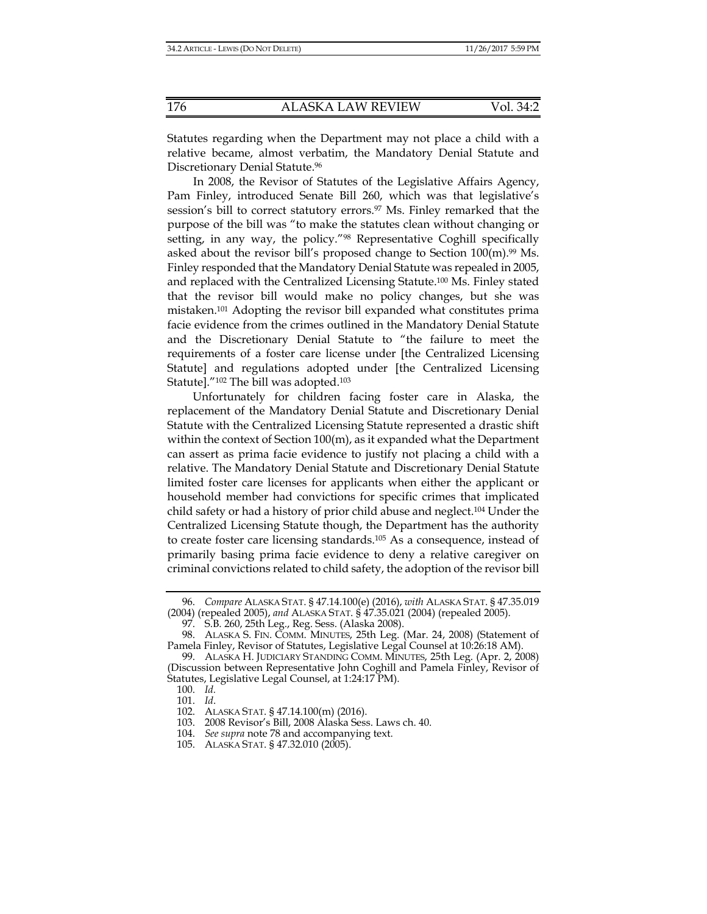Statutes regarding when the Department may not place a child with a relative became, almost verbatim, the Mandatory Denial Statute and Discretionary Denial Statute.96

In 2008, the Revisor of Statutes of the Legislative Affairs Agency, Pam Finley, introduced Senate Bill 260, which was that legislative's session's bill to correct statutory errors.<sup>97</sup> Ms. Finley remarked that the purpose of the bill was "to make the statutes clean without changing or setting, in any way, the policy."<sup>98</sup> Representative Coghill specifically asked about the revisor bill's proposed change to Section  $100(m).$ <sup>99</sup> Ms. Finley responded that the Mandatory Denial Statute was repealed in 2005, and replaced with the Centralized Licensing Statute.100 Ms. Finley stated that the revisor bill would make no policy changes, but she was mistaken.101 Adopting the revisor bill expanded what constitutes prima facie evidence from the crimes outlined in the Mandatory Denial Statute and the Discretionary Denial Statute to "the failure to meet the requirements of a foster care license under [the Centralized Licensing Statute] and regulations adopted under [the Centralized Licensing Statute]."102 The bill was adopted.103

Unfortunately for children facing foster care in Alaska, the replacement of the Mandatory Denial Statute and Discretionary Denial Statute with the Centralized Licensing Statute represented a drastic shift within the context of Section 100(m), as it expanded what the Department can assert as prima facie evidence to justify not placing a child with a relative. The Mandatory Denial Statute and Discretionary Denial Statute limited foster care licenses for applicants when either the applicant or household member had convictions for specific crimes that implicated child safety or had a history of prior child abuse and neglect.104 Under the Centralized Licensing Statute though, the Department has the authority to create foster care licensing standards.105 As a consequence, instead of primarily basing prima facie evidence to deny a relative caregiver on criminal convictions related to child safety, the adoption of the revisor bill

 <sup>96.</sup> *Compare* ALASKA STAT. § 47.14.100(e) (2016), *with* ALASKA STAT. § 47.35.019 (2004) (repealed 2005), *and* ALASKA STAT. § 47.35.021 (2004) (repealed 2005).

 <sup>97.</sup> S.B. 260, 25th Leg., Reg. Sess. (Alaska 2008).

 <sup>98.</sup> ALASKA S. FIN. COMM. MINUTES, 25th Leg. (Mar. 24, 2008) (Statement of Pamela Finley, Revisor of Statutes, Legislative Legal Counsel at 10:26:18 AM).

 <sup>99.</sup> ALASKA H. JUDICIARY STANDING COMM. MINUTES, 25th Leg. (Apr. 2, 2008) (Discussion between Representative John Coghill and Pamela Finley, Revisor of Statutes, Legislative Legal Counsel, at 1:24:17 PM).

 <sup>100.</sup> *Id.*

 <sup>101.</sup> *Id*.

 <sup>102.</sup> ALASKA STAT. § 47.14.100(m) (2016).

 <sup>103. 2008</sup> Revisor's Bill, 2008 Alaska Sess. Laws ch. 40.

 <sup>104.</sup> *See supra* note 78 and accompanying text.

 <sup>105.</sup> ALASKA STAT. § 47.32.010 (2005).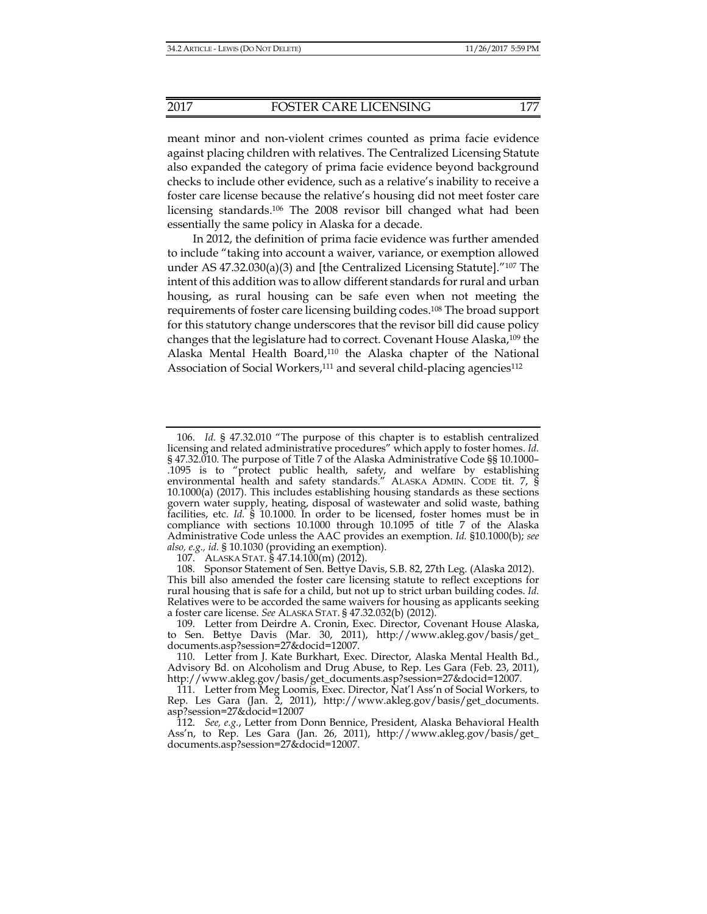meant minor and non-violent crimes counted as prima facie evidence against placing children with relatives. The Centralized Licensing Statute also expanded the category of prima facie evidence beyond background checks to include other evidence, such as a relative's inability to receive a foster care license because the relative's housing did not meet foster care licensing standards.106 The 2008 revisor bill changed what had been essentially the same policy in Alaska for a decade.

In 2012, the definition of prima facie evidence was further amended to include "taking into account a waiver, variance, or exemption allowed under AS  $47.32.030(a)(3)$  and [the Centralized Licensing Statute].<sup>"107</sup> The intent of this addition was to allow different standards for rural and urban housing, as rural housing can be safe even when not meeting the requirements of foster care licensing building codes.108 The broad support for this statutory change underscores that the revisor bill did cause policy changes that the legislature had to correct. Covenant House Alaska,109 the Alaska Mental Health Board,110 the Alaska chapter of the National Association of Social Workers,<sup>111</sup> and several child-placing agencies<sup>112</sup>

107. ALASKA STAT. § 47.14.100(m) (2012).

 108. Sponsor Statement of Sen. Bettye Davis, S.B. 82, 27th Leg. (Alaska 2012). This bill also amended the foster care licensing statute to reflect exceptions for rural housing that is safe for a child, but not up to strict urban building codes. *Id.*  Relatives were to be accorded the same waivers for housing as applicants seeking a foster care license. *See* ALASKA STAT. § 47.32.032(b) (2012).

 110. Letter from J. Kate Burkhart, Exec. Director, Alaska Mental Health Bd., Advisory Bd. on Alcoholism and Drug Abuse, to Rep. Les Gara (Feb. 23, 2011), http://www.akleg.gov/basis/get\_documents.asp?session=27&docid=12007.

 111. Letter from Meg Loomis, Exec. Director, Nat'l Ass'n of Social Workers, to Rep. Les Gara (Jan. 2, 2011), http://www.akleg.gov/basis/get\_documents. asp?session=27&docid=12007

 <sup>106.</sup> *Id.* § 47.32.010 "The purpose of this chapter is to establish centralized licensing and related administrative procedures" which apply to foster homes. *Id.*  § 47.32.010. The purpose of Title 7 of the Alaska Administrative Code §§ 10.1000– .1095 is to "protect public health, safety, and welfare by establishing environmental health and safety standards." ALASKA ADMIN. CODE tit. 7, § 10.1000(a) (2017). This includes establishing housing standards as these sections govern water supply, heating, disposal of wastewater and solid waste, bathing facilities, etc. *Id.* § 10.1000. In order to be licensed, foster homes must be in compliance with sections 10.1000 through 10.1095 of title 7 of the Alaska Administrative Code unless the AAC provides an exemption. *Id.* §10.1000(b); *see also, e.g., id.* § 10.1030 (providing an exemption).

 <sup>109.</sup> Letter from Deirdre A. Cronin, Exec. Director, Covenant House Alaska, to Sen. Bettye Davis (Mar. 30, 2011), http://www.akleg.gov/basis/get\_ documents.asp?session=27&docid=12007.

 <sup>112.</sup> *See, e.g.*, Letter from Donn Bennice, President, Alaska Behavioral Health Ass'n, to Rep. Les Gara (Jan. 26, 2011), http://www.akleg.gov/basis/get\_ documents.asp?session=27&docid=12007.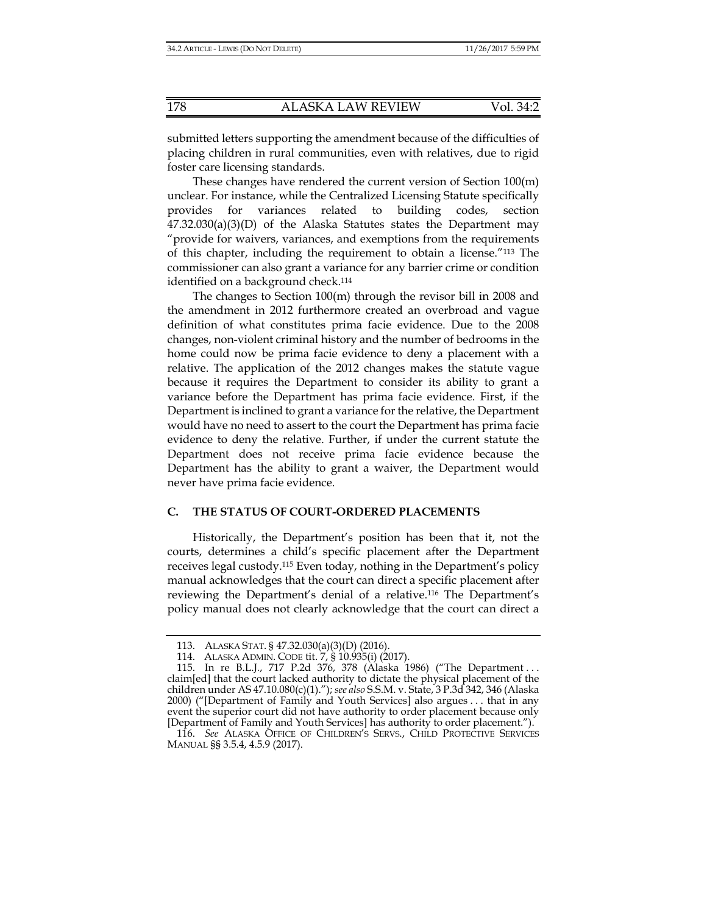submitted letters supporting the amendment because of the difficulties of placing children in rural communities, even with relatives, due to rigid foster care licensing standards.

These changes have rendered the current version of Section 100(m) unclear. For instance, while the Centralized Licensing Statute specifically provides for variances related to building codes, section  $47.32.030(a)(3)(D)$  of the Alaska Statutes states the Department may "provide for waivers, variances, and exemptions from the requirements of this chapter, including the requirement to obtain a license."113 The commissioner can also grant a variance for any barrier crime or condition identified on a background check.<sup>114</sup>

The changes to Section 100(m) through the revisor bill in 2008 and the amendment in 2012 furthermore created an overbroad and vague definition of what constitutes prima facie evidence. Due to the 2008 changes, non-violent criminal history and the number of bedrooms in the home could now be prima facie evidence to deny a placement with a relative. The application of the 2012 changes makes the statute vague because it requires the Department to consider its ability to grant a variance before the Department has prima facie evidence. First, if the Department is inclined to grant a variance for the relative, the Department would have no need to assert to the court the Department has prima facie evidence to deny the relative. Further, if under the current statute the Department does not receive prima facie evidence because the Department has the ability to grant a waiver, the Department would never have prima facie evidence.

#### **C. THE STATUS OF COURT-ORDERED PLACEMENTS**

Historically, the Department's position has been that it, not the courts, determines a child's specific placement after the Department receives legal custody.115 Even today, nothing in the Department's policy manual acknowledges that the court can direct a specific placement after reviewing the Department's denial of a relative.116 The Department's policy manual does not clearly acknowledge that the court can direct a

 <sup>113.</sup> ALASKA STAT. § 47.32.030(a)(3)(D) (2016).

 <sup>114.</sup> ALASKA ADMIN. CODE tit. 7, § 10.935(i) (2017).

 <sup>115.</sup> In re B.L.J*.*, 717 P.2d 376, 378 (Alaska 1986) ("The Department . . . claim[ed] that the court lacked authority to dictate the physical placement of the children under AS 47.10.080(c)(1)."); *see also* S.S.M. v. State, 3 P.3d 342, 346 (Alaska 2000) ("[Department of Family and Youth Services] also argues . . . that in any event the superior court did not have authority to order placement because only [Department of Family and Youth Services] has authority to order placement.").

 <sup>116.</sup> *See* ALASKA OFFICE OF CHILDREN'S SERVS., CHILD PROTECTIVE SERVICES MANUAL §§ 3.5.4, 4.5.9 (2017).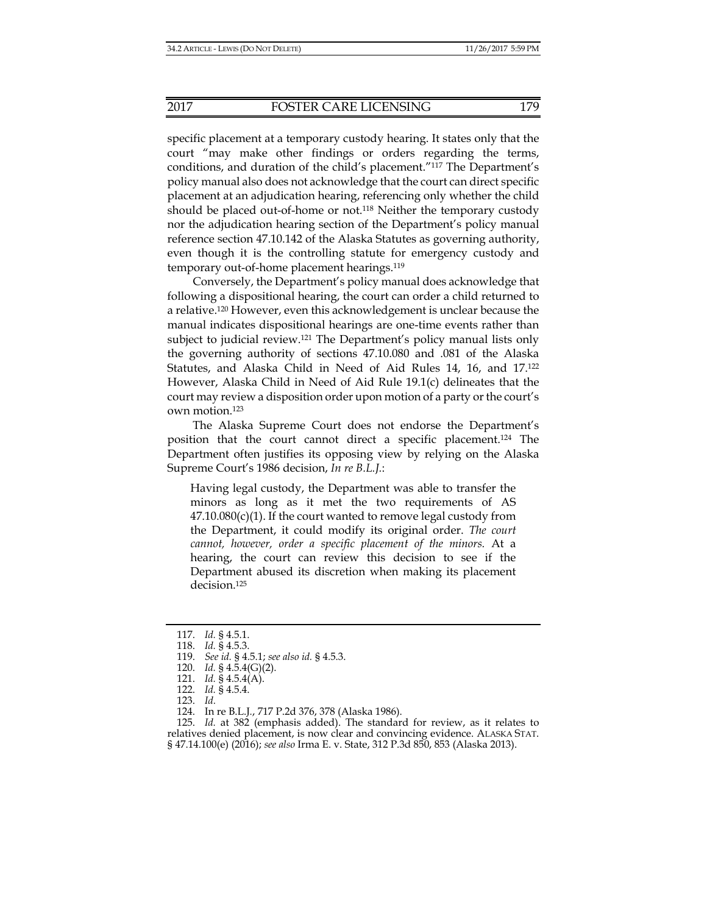specific placement at a temporary custody hearing. It states only that the court "may make other findings or orders regarding the terms, conditions, and duration of the child's placement."117 The Department's policy manual also does not acknowledge that the court can direct specific placement at an adjudication hearing, referencing only whether the child should be placed out-of-home or not.<sup>118</sup> Neither the temporary custody nor the adjudication hearing section of the Department's policy manual reference section 47.10.142 of the Alaska Statutes as governing authority, even though it is the controlling statute for emergency custody and temporary out-of-home placement hearings.119

Conversely, the Department's policy manual does acknowledge that following a dispositional hearing, the court can order a child returned to a relative.120 However, even this acknowledgement is unclear because the manual indicates dispositional hearings are one-time events rather than subject to judicial review.<sup>121</sup> The Department's policy manual lists only the governing authority of sections 47.10.080 and .081 of the Alaska Statutes, and Alaska Child in Need of Aid Rules 14, 16, and 17.122 However, Alaska Child in Need of Aid Rule 19.1(c) delineates that the court may review a disposition order upon motion of a party or the court's own motion.123

The Alaska Supreme Court does not endorse the Department's position that the court cannot direct a specific placement.124 The Department often justifies its opposing view by relying on the Alaska Supreme Court's 1986 decision, *In re B.L.J.*:

Having legal custody, the Department was able to transfer the minors as long as it met the two requirements of AS  $47.10.080(c)(1)$ . If the court wanted to remove legal custody from the Department, it could modify its original order. *The court cannot, however, order a specific placement of the minors.* At a hearing, the court can review this decision to see if the Department abused its discretion when making its placement decision.125

 <sup>117.</sup> *Id.* § 4.5.1.

 <sup>118.</sup> *Id.* § 4.5.3.

 <sup>119.</sup> *See id.* § 4.5.1; *see also id.* § 4.5.3.

 <sup>120.</sup> *Id.* § 4.5.4(G)(2).

 <sup>121.</sup> *Id.* § 4.5.4(A).

 <sup>122.</sup> *Id.* § 4.5.4.

 <sup>123.</sup> *Id.*

 <sup>124.</sup> In re B.L.J*.*, 717 P.2d 376, 378 (Alaska 1986).

 <sup>125.</sup> *Id.* at 382 (emphasis added). The standard for review, as it relates to relatives denied placement, is now clear and convincing evidence. ALASKA STAT. § 47.14.100(e) (2016); *see also* Irma E. v. State, 312 P.3d 850, 853 (Alaska 2013).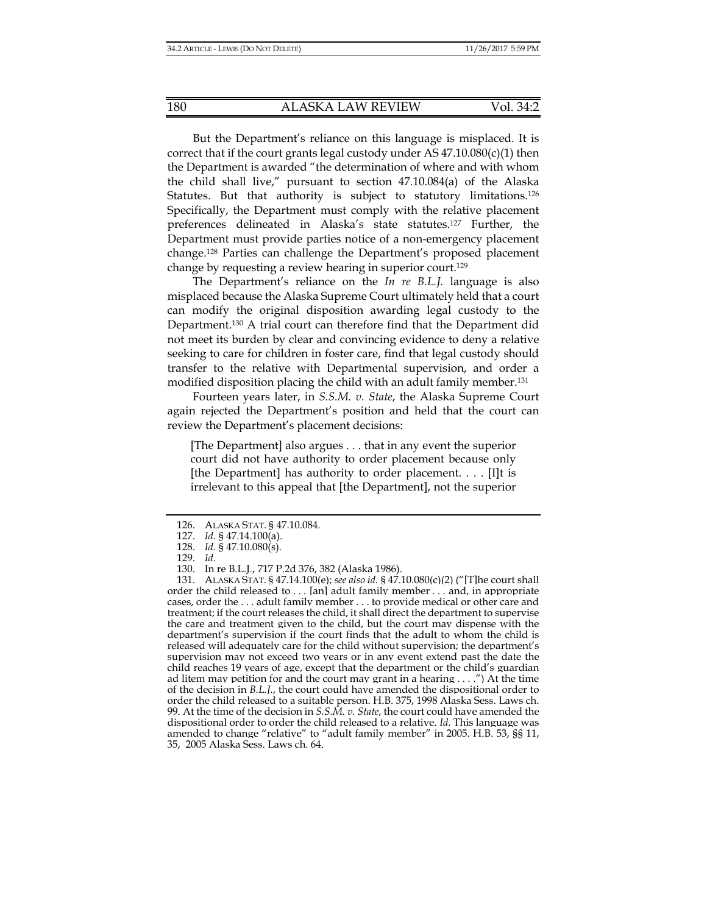But the Department's reliance on this language is misplaced. It is correct that if the court grants legal custody under AS  $47.10.080(c)(1)$  then the Department is awarded "the determination of where and with whom the child shall live," pursuant to section 47.10.084(a) of the Alaska Statutes. But that authority is subject to statutory limitations.<sup>126</sup> Specifically, the Department must comply with the relative placement preferences delineated in Alaska's state statutes.127 Further, the Department must provide parties notice of a non-emergency placement change.128 Parties can challenge the Department's proposed placement change by requesting a review hearing in superior court.129

The Department's reliance on the *In re B.L.J.* language is also misplaced because the Alaska Supreme Court ultimately held that a court can modify the original disposition awarding legal custody to the Department.130 A trial court can therefore find that the Department did not meet its burden by clear and convincing evidence to deny a relative seeking to care for children in foster care, find that legal custody should transfer to the relative with Departmental supervision, and order a modified disposition placing the child with an adult family member.131

Fourteen years later, in *S.S.M. v. State*, the Alaska Supreme Court again rejected the Department's position and held that the court can review the Department's placement decisions:

[The Department] also argues . . . that in any event the superior court did not have authority to order placement because only [the Department] has authority to order placement. . . . [I]t is irrelevant to this appeal that [the Department], not the superior

 <sup>126.</sup> ALASKA STAT. § 47.10.084.

 <sup>127.</sup> *Id.* § 47.14.100(a).

 <sup>128.</sup> *Id.* § 47.10.080(s).

 <sup>129.</sup> *Id*.

 <sup>130.</sup> In re B.L.J*.*, 717 P.2d 376, 382 (Alaska 1986).

 <sup>131.</sup> ALASKA STAT. § 47.14.100(e); *see also id.* § 47.10.080(c)(2) ("[T]he court shall order the child released to . . . [an] adult family member . . . and, in appropriate cases, order the . . . adult family member . . . to provide medical or other care and treatment; if the court releases the child, it shall direct the department to supervise the care and treatment given to the child, but the court may dispense with the department's supervision if the court finds that the adult to whom the child is released will adequately care for the child without supervision; the department's supervision may not exceed two years or in any event extend past the date the child reaches 19 years of age, except that the department or the child's guardian ad litem may petition for and the court may grant in a hearing . . . .") At the time of the decision in *B.L.J.*, the court could have amended the dispositional order to order the child released to a suitable person. H.B. 375, 1998 Alaska Sess. Laws ch. 99. At the time of the decision in *S.S.M. v. State*, the court could have amended the dispositional order to order the child released to a relative. *Id*. This language was amended to change "relative" to "adult family member" in 2005. H.B. 53, §§ 11, 35, 2005 Alaska Sess. Laws ch. 64.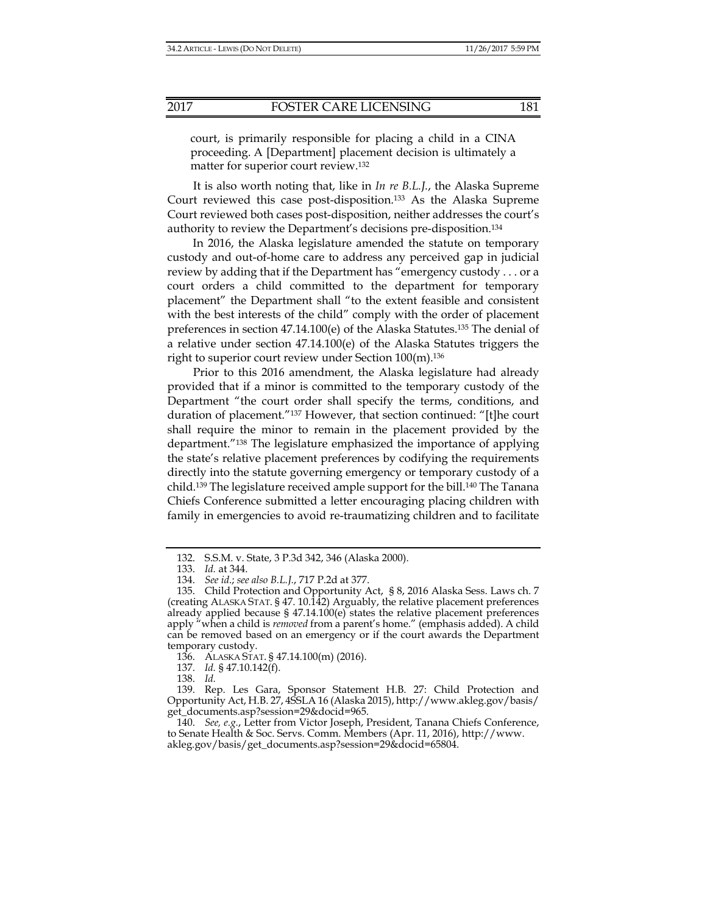court, is primarily responsible for placing a child in a CINA proceeding. A [Department] placement decision is ultimately a matter for superior court review.132

It is also worth noting that, like in *In re B.L.J.*, the Alaska Supreme Court reviewed this case post-disposition.133 As the Alaska Supreme Court reviewed both cases post-disposition, neither addresses the court's authority to review the Department's decisions pre-disposition.134

In 2016, the Alaska legislature amended the statute on temporary custody and out-of-home care to address any perceived gap in judicial review by adding that if the Department has "emergency custody . . . or a court orders a child committed to the department for temporary placement" the Department shall "to the extent feasible and consistent with the best interests of the child" comply with the order of placement preferences in section 47.14.100(e) of the Alaska Statutes.135 The denial of a relative under section 47.14.100(e) of the Alaska Statutes triggers the right to superior court review under Section 100(m).136

Prior to this 2016 amendment, the Alaska legislature had already provided that if a minor is committed to the temporary custody of the Department "the court order shall specify the terms, conditions, and duration of placement."137 However, that section continued: "[t]he court shall require the minor to remain in the placement provided by the department."138 The legislature emphasized the importance of applying the state's relative placement preferences by codifying the requirements directly into the statute governing emergency or temporary custody of a child.139 The legislature received ample support for the bill.140 The Tanana Chiefs Conference submitted a letter encouraging placing children with family in emergencies to avoid re-traumatizing children and to facilitate

 <sup>132.</sup> S.S.M. v. State, 3 P.3d 342, 346 (Alaska 2000).

 <sup>133.</sup> *Id.* at 344.

 <sup>134.</sup> *See id*.; *see also B.L.J.*, 717 P.2d at 377.

 <sup>135.</sup> Child Protection and Opportunity Act, § 8, 2016 Alaska Sess. Laws ch. 7 (creating ALASKA STAT. § 47. 10.142) Arguably, the relative placement preferences already applied because  $\S$  47.14.100(e) states the relative placement preferences apply "when a child is *removed* from a parent's home." (emphasis added). A child can be removed based on an emergency or if the court awards the Department temporary custody.

 <sup>136.</sup> ALASKA STAT. § 47.14.100(m) (2016).

 <sup>137.</sup> *Id.* § 47.10.142(f).

 <sup>138.</sup> *Id.* 

 <sup>139.</sup> Rep. Les Gara, Sponsor Statement H.B. 27: Child Protection and Opportunity Act, H.B. 27, 4SSLA 16 (Alaska 2015), http://www.akleg.gov/basis/ get\_documents.asp?session=29&docid=965.

 <sup>140.</sup> *See, e.g.*, Letter from Victor Joseph, President, Tanana Chiefs Conference, to Senate Health & Soc. Servs. Comm. Members (Apr. 11, 2016), http://www. akleg.gov/basis/get\_documents.asp?session=29&docid=65804.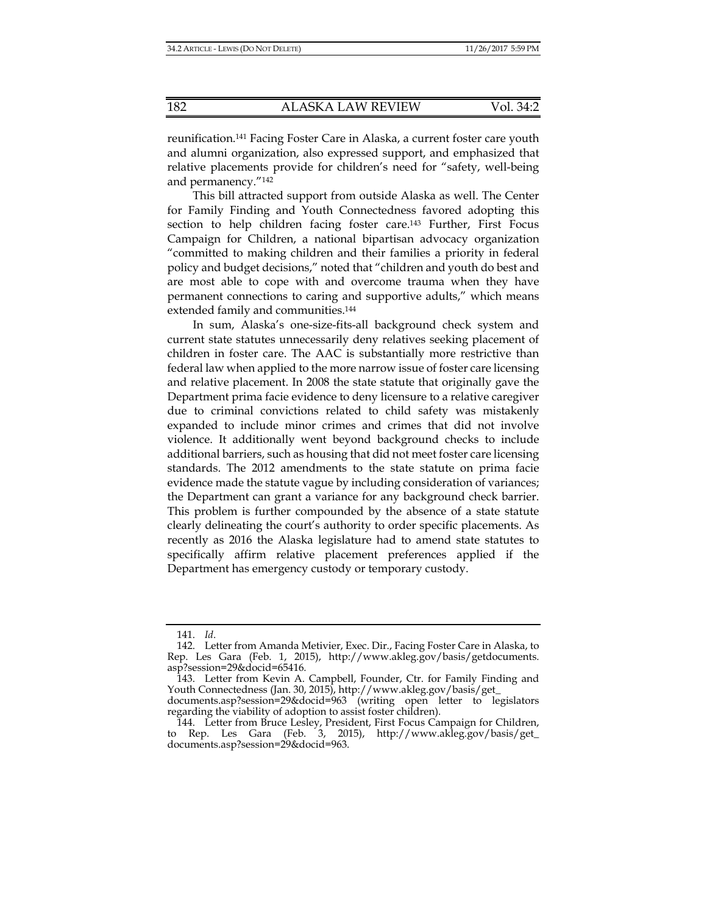reunification.141 Facing Foster Care in Alaska, a current foster care youth and alumni organization, also expressed support, and emphasized that relative placements provide for children's need for "safety, well-being and permanency."142

This bill attracted support from outside Alaska as well. The Center for Family Finding and Youth Connectedness favored adopting this section to help children facing foster care.<sup>143</sup> Further, First Focus Campaign for Children, a national bipartisan advocacy organization "committed to making children and their families a priority in federal policy and budget decisions," noted that "children and youth do best and are most able to cope with and overcome trauma when they have permanent connections to caring and supportive adults," which means extended family and communities.144

In sum, Alaska's one-size-fits-all background check system and current state statutes unnecessarily deny relatives seeking placement of children in foster care. The AAC is substantially more restrictive than federal law when applied to the more narrow issue of foster care licensing and relative placement. In 2008 the state statute that originally gave the Department prima facie evidence to deny licensure to a relative caregiver due to criminal convictions related to child safety was mistakenly expanded to include minor crimes and crimes that did not involve violence. It additionally went beyond background checks to include additional barriers, such as housing that did not meet foster care licensing standards. The 2012 amendments to the state statute on prima facie evidence made the statute vague by including consideration of variances; the Department can grant a variance for any background check barrier. This problem is further compounded by the absence of a state statute clearly delineating the court's authority to order specific placements. As recently as 2016 the Alaska legislature had to amend state statutes to specifically affirm relative placement preferences applied if the Department has emergency custody or temporary custody.

 <sup>141.</sup> *Id*.

 <sup>142.</sup> Letter from Amanda Metivier, Exec. Dir., Facing Foster Care in Alaska, to Rep. Les Gara (Feb. 1, 2015), http://www.akleg.gov/basis/getdocuments. asp?session=29&docid=65416.

 <sup>143.</sup> Letter from Kevin A. Campbell, Founder, Ctr. for Family Finding and Youth Connectedness (Jan. 30, 2015), http://www.akleg.gov/basis/get\_

documents.asp?session=29&docid=963 (writing open letter to legislators regarding the viability of adoption to assist foster children).

 <sup>144.</sup> Letter from Bruce Lesley, President, First Focus Campaign for Children, to Rep. Les Gara (Feb. 3, 2015), http://www.akleg.gov/basis/get\_ documents.asp?session=29&docid=963.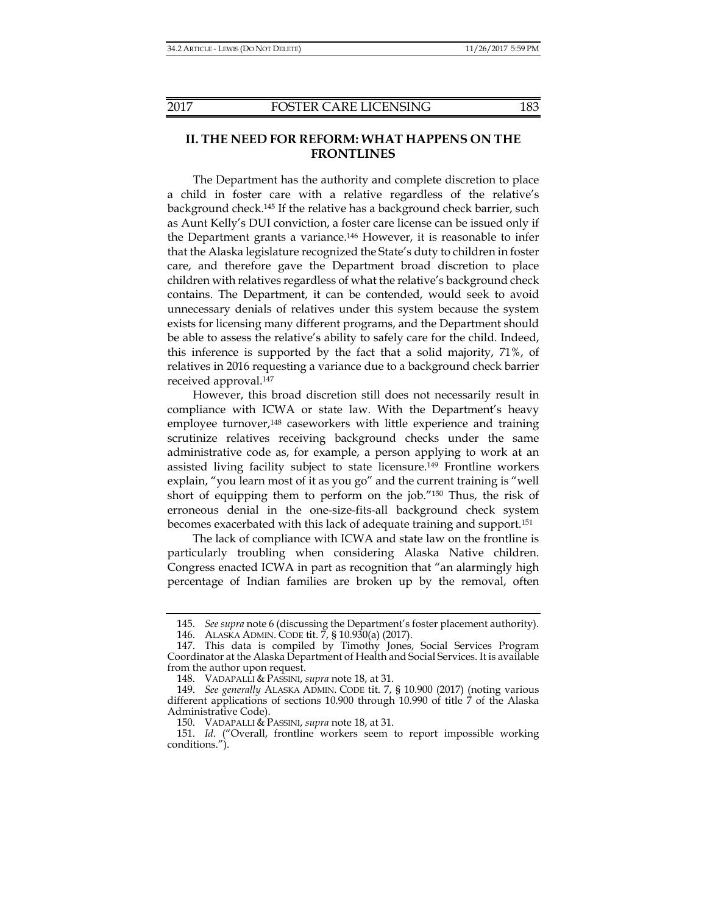## **II. THE NEED FOR REFORM: WHAT HAPPENS ON THE FRONTLINES**

The Department has the authority and complete discretion to place a child in foster care with a relative regardless of the relative's background check.145 If the relative has a background check barrier, such as Aunt Kelly's DUI conviction, a foster care license can be issued only if the Department grants a variance.146 However, it is reasonable to infer that the Alaska legislature recognized the State's duty to children in foster care, and therefore gave the Department broad discretion to place children with relatives regardless of what the relative's background check contains. The Department, it can be contended, would seek to avoid unnecessary denials of relatives under this system because the system exists for licensing many different programs, and the Department should be able to assess the relative's ability to safely care for the child. Indeed, this inference is supported by the fact that a solid majority, 71%, of relatives in 2016 requesting a variance due to a background check barrier received approval.147

However, this broad discretion still does not necessarily result in compliance with ICWA or state law. With the Department's heavy employee turnover,<sup>148</sup> caseworkers with little experience and training scrutinize relatives receiving background checks under the same administrative code as, for example, a person applying to work at an assisted living facility subject to state licensure.149 Frontline workers explain, "you learn most of it as you go" and the current training is "well short of equipping them to perform on the job."150 Thus, the risk of erroneous denial in the one-size-fits-all background check system becomes exacerbated with this lack of adequate training and support.151

The lack of compliance with ICWA and state law on the frontline is particularly troubling when considering Alaska Native children. Congress enacted ICWA in part as recognition that "an alarmingly high percentage of Indian families are broken up by the removal, often

 <sup>145.</sup> *See supra* note 6 (discussing the Department's foster placement authority).

 <sup>146.</sup> ALASKA ADMIN. CODE tit. 7, § 10.930(a) (2017).

 <sup>147.</sup> This data is compiled by Timothy Jones, Social Services Program Coordinator at the Alaska Department of Health and Social Services. It is available from the author upon request.

 <sup>148.</sup> VADAPALLI & PASSINI, *supra* note 18, at 31.

 <sup>149.</sup> *See generally* ALASKA ADMIN. CODE tit. 7, § 10.900 (2017) (noting various different applications of sections 10.900 through 10.990 of title 7 of the Alaska Administrative Code).

 <sup>150.</sup> VADAPALLI & PASSINI, *supra* note 18, at 31.

 <sup>151.</sup> *Id*. ("Overall, frontline workers seem to report impossible working conditions.").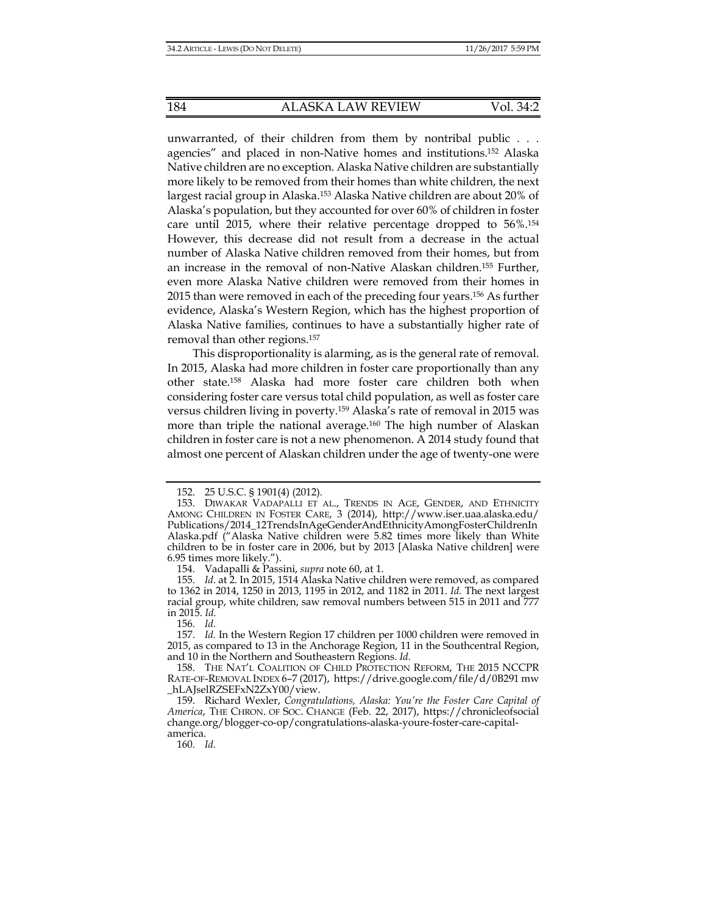unwarranted, of their children from them by nontribal public . . . agencies" and placed in non-Native homes and institutions.152 Alaska Native children are no exception. Alaska Native children are substantially more likely to be removed from their homes than white children, the next largest racial group in Alaska.153 Alaska Native children are about 20% of Alaska's population, but they accounted for over 60% of children in foster care until 2015, where their relative percentage dropped to 56%.154 However, this decrease did not result from a decrease in the actual number of Alaska Native children removed from their homes, but from an increase in the removal of non-Native Alaskan children.155 Further, even more Alaska Native children were removed from their homes in 2015 than were removed in each of the preceding four years.156 As further evidence, Alaska's Western Region, which has the highest proportion of Alaska Native families, continues to have a substantially higher rate of removal than other regions.157

This disproportionality is alarming, as is the general rate of removal. In 2015, Alaska had more children in foster care proportionally than any other state.158 Alaska had more foster care children both when considering foster care versus total child population, as well as foster care versus children living in poverty.159 Alaska's rate of removal in 2015 was more than triple the national average.160 The high number of Alaskan children in foster care is not a new phenomenon. A 2014 study found that almost one percent of Alaskan children under the age of twenty-one were

156. *Id.*

160. *Id.*

 <sup>152. 25</sup> U.S.C. § 1901(4) (2012).

 <sup>153.</sup> DIWAKAR VADAPALLI ET AL., TRENDS IN AGE, GENDER, AND ETHNICITY AMONG CHILDREN IN FOSTER CARE, 3 (2014), http://www.iser.uaa.alaska.edu/ Publications/2014\_12TrendsInAgeGenderAndEthnicityAmongFosterChildrenIn Alaska.pdf ("Alaska Native children were 5.82 times more likely than White children to be in foster care in 2006, but by 2013 [Alaska Native children] were 6.95 times more likely.").

 <sup>154.</sup> Vadapalli & Passini, *supra* note 60, at 1.

 <sup>155.</sup> *Id*. at 2. In 2015, 1514 Alaska Native children were removed, as compared to 1362 in 2014, 1250 in 2013, 1195 in 2012, and 1182 in 2011. *Id.* The next largest racial group, white children, saw removal numbers between 515 in 2011 and 777 in 2015. *Id.*

 <sup>157.</sup> *Id.* In the Western Region 17 children per 1000 children were removed in 2015, as compared to 13 in the Anchorage Region, 11 in the Southcentral Region, and 10 in the Northern and Southeastern Regions. *Id.*

 <sup>158.</sup> THE NAT'L COALITION OF CHILD PROTECTION REFORM, THE 2015 NCCPR RATE-OF-REMOVAL INDEX 6–7 (2017), https://drive.google.com/file/d/0B291 mw \_hLAJselRZSEFxN2ZxY00/view.

 <sup>159.</sup> Richard Wexler, *Congratulations, Alaska: You're the Foster Care Capital of America*, THE CHRON. OF SOC. CHANGE (Feb. 22, 2017), https://chronicleofsocial change.org/blogger-co-op/congratulations-alaska-youre-foster-care-capitalamerica.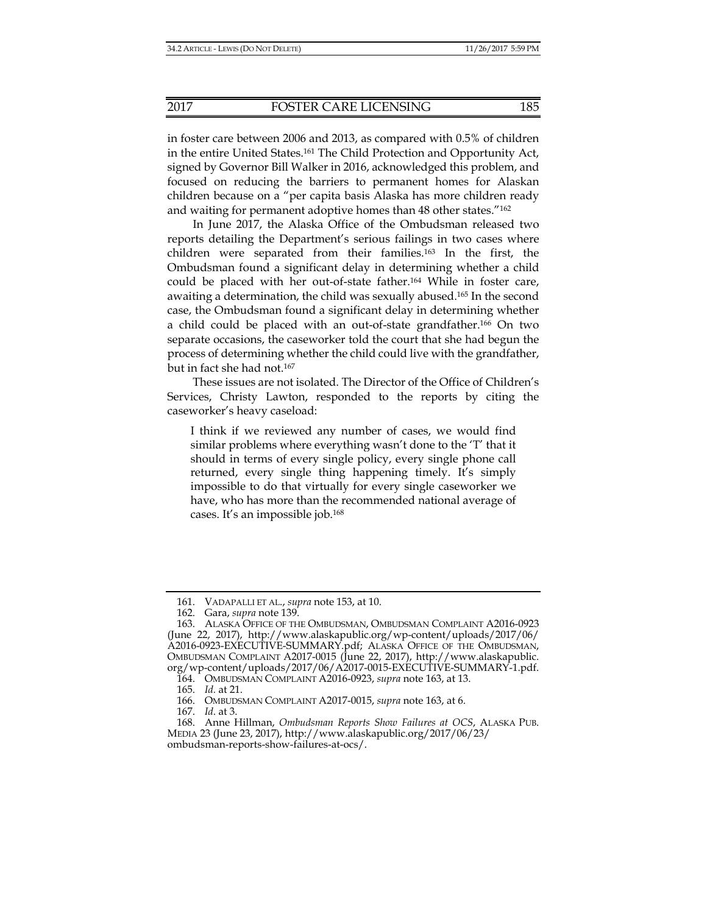in foster care between 2006 and 2013, as compared with 0.5% of children in the entire United States.161 The Child Protection and Opportunity Act, signed by Governor Bill Walker in 2016, acknowledged this problem, and focused on reducing the barriers to permanent homes for Alaskan children because on a "per capita basis Alaska has more children ready and waiting for permanent adoptive homes than 48 other states."162

In June 2017, the Alaska Office of the Ombudsman released two reports detailing the Department's serious failings in two cases where children were separated from their families.163 In the first, the Ombudsman found a significant delay in determining whether a child could be placed with her out-of-state father.164 While in foster care, awaiting a determination, the child was sexually abused.165 In the second case, the Ombudsman found a significant delay in determining whether a child could be placed with an out-of-state grandfather.166 On two separate occasions, the caseworker told the court that she had begun the process of determining whether the child could live with the grandfather, but in fact she had not.<sup>167</sup>

These issues are not isolated. The Director of the Office of Children's Services, Christy Lawton, responded to the reports by citing the caseworker's heavy caseload:

I think if we reviewed any number of cases, we would find similar problems where everything wasn't done to the 'T' that it should in terms of every single policy, every single phone call returned, every single thing happening timely. It's simply impossible to do that virtually for every single caseworker we have, who has more than the recommended national average of cases. It's an impossible job.168

167. *Id*. at 3.

 <sup>161.</sup> VADAPALLI ET AL., *supra* note 153, at 10.

 <sup>162.</sup> Gara, *supra* note 139.

 <sup>163.</sup> ALASKA OFFICE OF THE OMBUDSMAN, OMBUDSMAN COMPLAINT A2016-0923 (June 22, 2017), http://www.alaskapublic.org/wp-content/uploads/2017/06/ A2016-0923-EXECUTIVE-SUMMARY.pdf; ALASKA OFFICE OF THE OMBUDSMAN, OMBUDSMAN COMPLAINT A2017-0015 (June 22, 2017), http://www.alaskapublic. org/wp-content/uploads/2017/06/A2017-0015-EXECUTIVE-SUMMARY-1.pdf.

 <sup>164.</sup> OMBUDSMAN COMPLAINT A2016-0923, *supra* note 163, at 13.

 <sup>165.</sup> *Id.* at 21.

 <sup>166.</sup> OMBUDSMAN COMPLAINT A2017-0015, *supra* note 163, at 6.

 <sup>168.</sup> Anne Hillman, *Ombudsman Reports Show Failures at OCS*, ALASKA PUB. MEDIA 23 (June 23, 2017), http://www.alaskapublic.org/2017/06/23/ ombudsman-reports-show-failures-at-ocs/.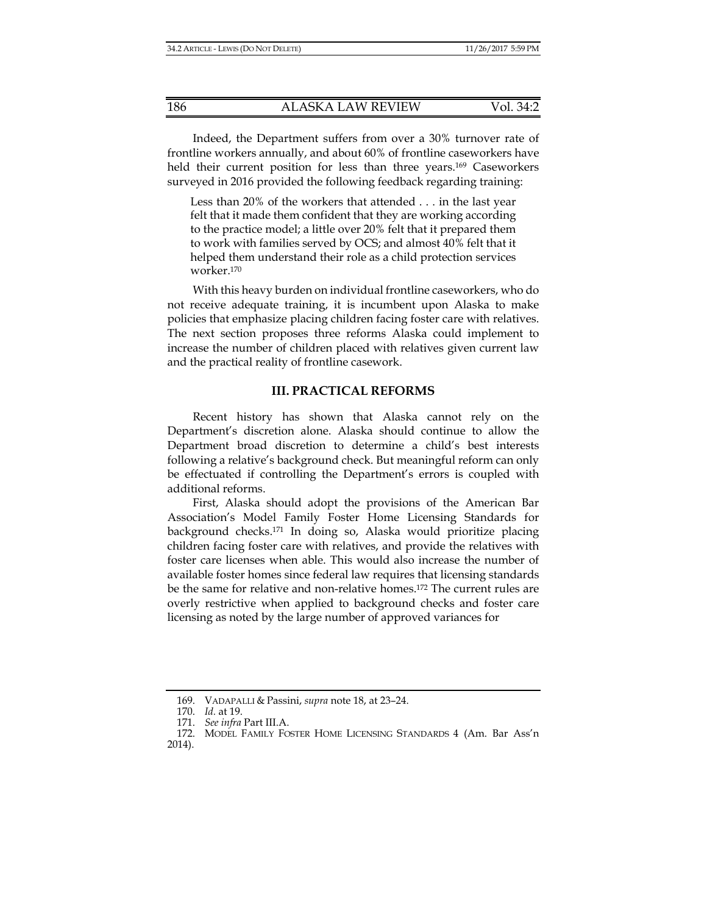Indeed, the Department suffers from over a 30% turnover rate of frontline workers annually, and about 60% of frontline caseworkers have held their current position for less than three years.<sup>169</sup> Caseworkers surveyed in 2016 provided the following feedback regarding training:

Less than 20% of the workers that attended . . . in the last year felt that it made them confident that they are working according to the practice model; a little over 20% felt that it prepared them to work with families served by OCS; and almost 40% felt that it helped them understand their role as a child protection services worker.170

With this heavy burden on individual frontline caseworkers, who do not receive adequate training, it is incumbent upon Alaska to make policies that emphasize placing children facing foster care with relatives. The next section proposes three reforms Alaska could implement to increase the number of children placed with relatives given current law and the practical reality of frontline casework.

## **III. PRACTICAL REFORMS**

Recent history has shown that Alaska cannot rely on the Department's discretion alone. Alaska should continue to allow the Department broad discretion to determine a child's best interests following a relative's background check. But meaningful reform can only be effectuated if controlling the Department's errors is coupled with additional reforms.

First, Alaska should adopt the provisions of the American Bar Association's Model Family Foster Home Licensing Standards for background checks.171 In doing so, Alaska would prioritize placing children facing foster care with relatives, and provide the relatives with foster care licenses when able. This would also increase the number of available foster homes since federal law requires that licensing standards be the same for relative and non-relative homes.172 The current rules are overly restrictive when applied to background checks and foster care licensing as noted by the large number of approved variances for

 <sup>169.</sup> VADAPALLI & Passini, *supra* note 18, at 23–24.

 <sup>170.</sup> *Id.* at 19.

 <sup>171.</sup> *See infra* Part III.A.

 <sup>172.</sup> MODEL FAMILY FOSTER HOME LICENSING STANDARDS 4 (Am. Bar Ass'n 2014).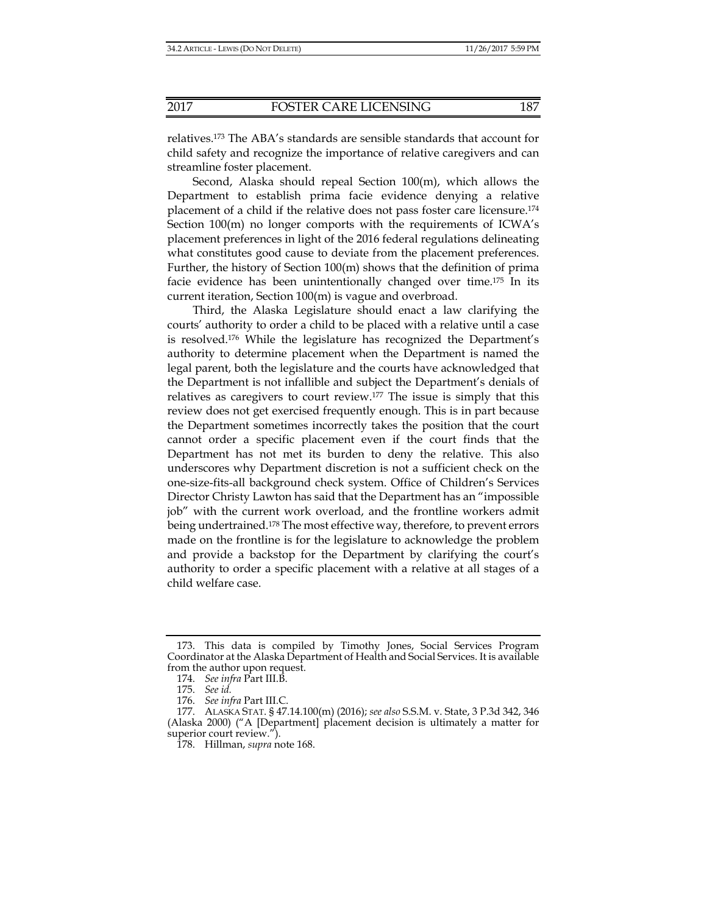relatives.173 The ABA's standards are sensible standards that account for child safety and recognize the importance of relative caregivers and can streamline foster placement.

Second, Alaska should repeal Section 100(m), which allows the Department to establish prima facie evidence denying a relative placement of a child if the relative does not pass foster care licensure.174 Section  $100(m)$  no longer comports with the requirements of ICWA's placement preferences in light of the 2016 federal regulations delineating what constitutes good cause to deviate from the placement preferences. Further, the history of Section 100(m) shows that the definition of prima facie evidence has been unintentionally changed over time.175 In its current iteration, Section 100(m) is vague and overbroad.

Third, the Alaska Legislature should enact a law clarifying the courts' authority to order a child to be placed with a relative until a case is resolved.176 While the legislature has recognized the Department's authority to determine placement when the Department is named the legal parent, both the legislature and the courts have acknowledged that the Department is not infallible and subject the Department's denials of relatives as caregivers to court review.177 The issue is simply that this review does not get exercised frequently enough. This is in part because the Department sometimes incorrectly takes the position that the court cannot order a specific placement even if the court finds that the Department has not met its burden to deny the relative. This also underscores why Department discretion is not a sufficient check on the one-size-fits-all background check system. Office of Children's Services Director Christy Lawton has said that the Department has an "impossible job" with the current work overload, and the frontline workers admit being undertrained.178 The most effective way, therefore, to prevent errors made on the frontline is for the legislature to acknowledge the problem and provide a backstop for the Department by clarifying the court's authority to order a specific placement with a relative at all stages of a child welfare case.

 <sup>173.</sup> This data is compiled by Timothy Jones, Social Services Program Coordinator at the Alaska Department of Health and Social Services. It is available from the author upon request.

 <sup>174.</sup> *See infra* Part III.B.

 <sup>175.</sup> *See id.*

 <sup>176.</sup> *See infra* Part III.C.

 <sup>177.</sup> ALASKA STAT. § 47.14.100(m) (2016); *see also* S.S.M. v. State, 3 P.3d 342, 346 (Alaska 2000) ("A [Department] placement decision is ultimately a matter for superior court review.").

 <sup>178.</sup> Hillman, *supra* note 168.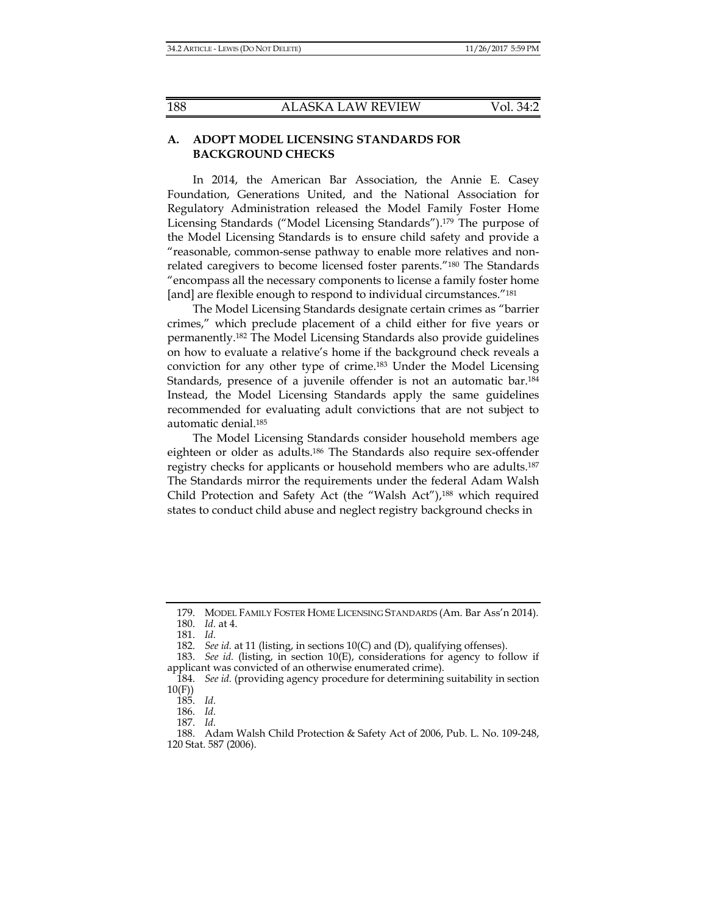## **A. ADOPT MODEL LICENSING STANDARDS FOR BACKGROUND CHECKS**

In 2014, the American Bar Association, the Annie E. Casey Foundation, Generations United, and the National Association for Regulatory Administration released the Model Family Foster Home Licensing Standards ("Model Licensing Standards").179 The purpose of the Model Licensing Standards is to ensure child safety and provide a "reasonable, common-sense pathway to enable more relatives and nonrelated caregivers to become licensed foster parents."180 The Standards "encompass all the necessary components to license a family foster home [and] are flexible enough to respond to individual circumstances."<sup>181</sup>

The Model Licensing Standards designate certain crimes as "barrier crimes," which preclude placement of a child either for five years or permanently.182 The Model Licensing Standards also provide guidelines on how to evaluate a relative's home if the background check reveals a conviction for any other type of crime.183 Under the Model Licensing Standards, presence of a juvenile offender is not an automatic bar.184 Instead, the Model Licensing Standards apply the same guidelines recommended for evaluating adult convictions that are not subject to automatic denial.185

The Model Licensing Standards consider household members age eighteen or older as adults.186 The Standards also require sex-offender registry checks for applicants or household members who are adults.187 The Standards mirror the requirements under the federal Adam Walsh Child Protection and Safety Act (the "Walsh Act"),<sup>188</sup> which required states to conduct child abuse and neglect registry background checks in

 <sup>179.</sup> MODEL FAMILY FOSTER HOME LICENSING STANDARDS (Am. Bar Ass'n 2014).

 <sup>180.</sup> *Id.* at 4.

 <sup>181.</sup> *Id.*

 <sup>182.</sup> *See id.* at 11 (listing, in sections 10(C) and (D), qualifying offenses).

 <sup>183.</sup> *See id.* (listing, in section 10(E), considerations for agency to follow if applicant was convicted of an otherwise enumerated crime).

 <sup>184.</sup> *See id.* (providing agency procedure for determining suitability in section 10(F))

 <sup>185.</sup> *Id.*

 <sup>186.</sup> *Id.*

 <sup>187.</sup> *Id.*

 <sup>188.</sup> Adam Walsh Child Protection & Safety Act of 2006, Pub. L. No. 109-248, 120 Stat. 587 (2006).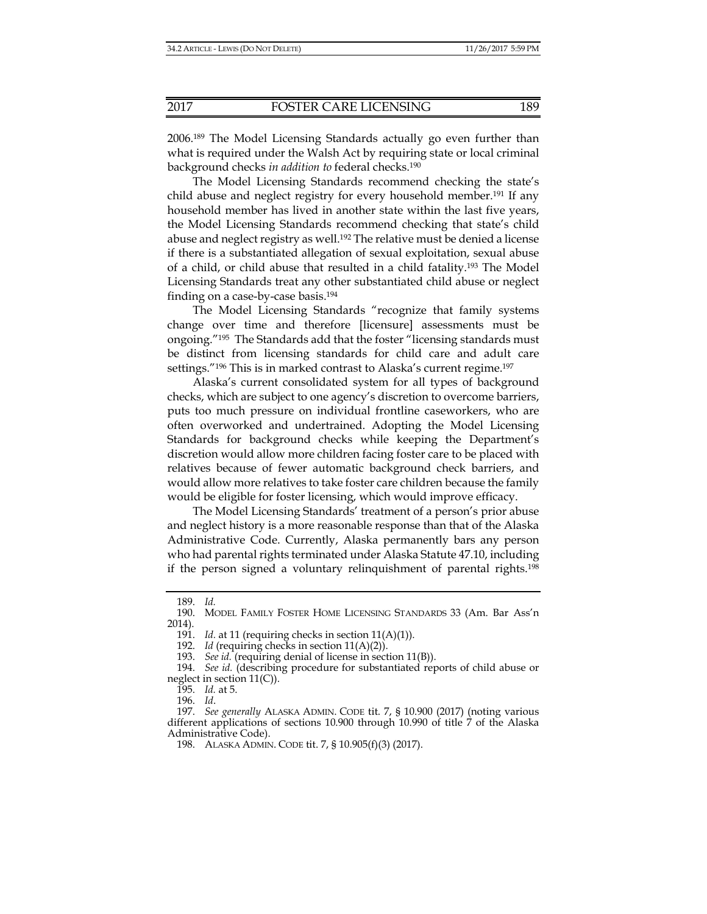2006.189 The Model Licensing Standards actually go even further than what is required under the Walsh Act by requiring state or local criminal background checks *in addition to* federal checks.190

The Model Licensing Standards recommend checking the state's child abuse and neglect registry for every household member.191 If any household member has lived in another state within the last five years, the Model Licensing Standards recommend checking that state's child abuse and neglect registry as well.<sup>192</sup> The relative must be denied a license if there is a substantiated allegation of sexual exploitation, sexual abuse of a child, or child abuse that resulted in a child fatality.193 The Model Licensing Standards treat any other substantiated child abuse or neglect finding on a case-by-case basis.194

The Model Licensing Standards "recognize that family systems change over time and therefore [licensure] assessments must be ongoing."195 The Standards add that the foster "licensing standards must be distinct from licensing standards for child care and adult care settings."<sup>196</sup> This is in marked contrast to Alaska's current regime.<sup>197</sup>

Alaska's current consolidated system for all types of background checks, which are subject to one agency's discretion to overcome barriers, puts too much pressure on individual frontline caseworkers, who are often overworked and undertrained. Adopting the Model Licensing Standards for background checks while keeping the Department's discretion would allow more children facing foster care to be placed with relatives because of fewer automatic background check barriers, and would allow more relatives to take foster care children because the family would be eligible for foster licensing, which would improve efficacy.

The Model Licensing Standards' treatment of a person's prior abuse and neglect history is a more reasonable response than that of the Alaska Administrative Code. Currently, Alaska permanently bars any person who had parental rights terminated under Alaska Statute 47.10, including if the person signed a voluntary relinquishment of parental rights.198

196. *Id*.

 <sup>189.</sup> *Id.* 

 <sup>190.</sup> MODEL FAMILY FOSTER HOME LICENSING STANDARDS 33 (Am. Bar Ass'n 2014).

 <sup>191.</sup> *Id.* at 11 (requiring checks in section 11(A)(1)).

 <sup>192.</sup> *Id* (requiring checks in section 11(A)(2)).

 <sup>193.</sup> *See id.* (requiring denial of license in section 11(B)).

 <sup>194.</sup> *See id.* (describing procedure for substantiated reports of child abuse or neglect in section  $11(C)$ ).

 <sup>195.</sup> *Id.* at 5.

 <sup>197.</sup> *See generally* ALASKA ADMIN. CODE tit. 7, § 10.900 (2017) (noting various different applications of sections 10.900 through 10.990 of title 7 of the Alaska Administrative Code).

 <sup>198.</sup> ALASKA ADMIN. CODE tit. 7, § 10.905(f)(3) (2017).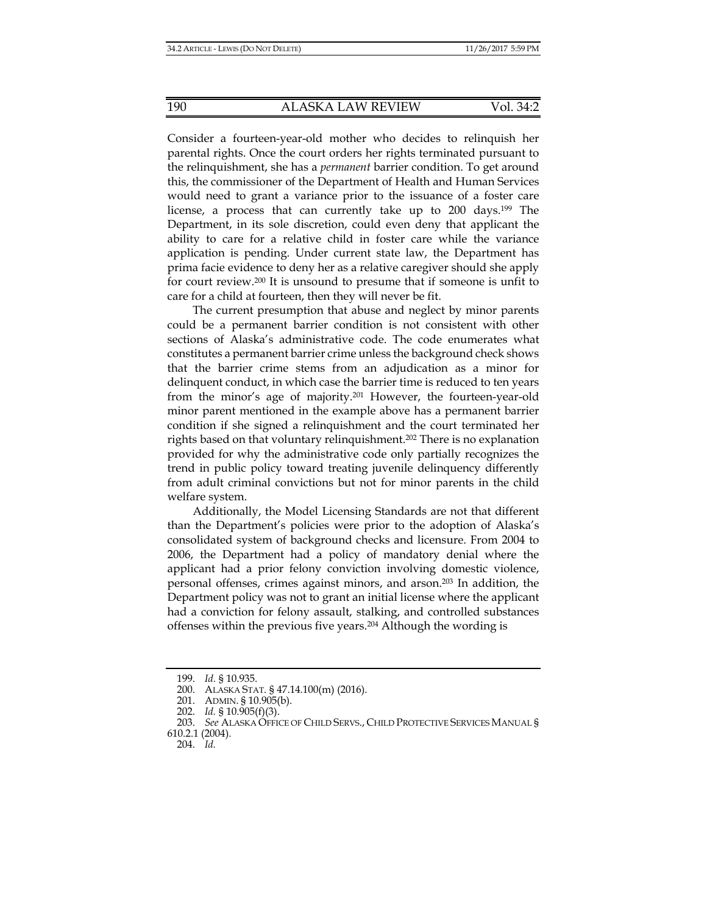Consider a fourteen-year-old mother who decides to relinquish her parental rights. Once the court orders her rights terminated pursuant to the relinquishment, she has a *permanent* barrier condition. To get around this, the commissioner of the Department of Health and Human Services would need to grant a variance prior to the issuance of a foster care license, a process that can currently take up to 200 days.199 The Department, in its sole discretion, could even deny that applicant the ability to care for a relative child in foster care while the variance application is pending. Under current state law, the Department has prima facie evidence to deny her as a relative caregiver should she apply for court review.200 It is unsound to presume that if someone is unfit to care for a child at fourteen, then they will never be fit.

The current presumption that abuse and neglect by minor parents could be a permanent barrier condition is not consistent with other sections of Alaska's administrative code. The code enumerates what constitutes a permanent barrier crime unless the background check shows that the barrier crime stems from an adjudication as a minor for delinquent conduct, in which case the barrier time is reduced to ten years from the minor's age of majority.201 However, the fourteen-year-old minor parent mentioned in the example above has a permanent barrier condition if she signed a relinquishment and the court terminated her rights based on that voluntary relinquishment.202 There is no explanation provided for why the administrative code only partially recognizes the trend in public policy toward treating juvenile delinquency differently from adult criminal convictions but not for minor parents in the child welfare system.

Additionally, the Model Licensing Standards are not that different than the Department's policies were prior to the adoption of Alaska's consolidated system of background checks and licensure. From 2004 to 2006, the Department had a policy of mandatory denial where the applicant had a prior felony conviction involving domestic violence, personal offenses, crimes against minors, and arson.203 In addition, the Department policy was not to grant an initial license where the applicant had a conviction for felony assault, stalking, and controlled substances offenses within the previous five years.204 Although the wording is

 <sup>199.</sup> *Id.* § 10.935.

 <sup>200.</sup> ALASKA STAT. § 47.14.100(m) (2016).

 <sup>201.</sup> ADMIN. § 10.905(b).

 <sup>202.</sup> *Id.* § 10.905(f)(3).

 <sup>203.</sup> *See* ALASKA OFFICE OF CHILD SERVS., CHILD PROTECTIVE SERVICES MANUAL §

<sup>610.2.1 (2004).</sup> 

 <sup>204.</sup> *Id.*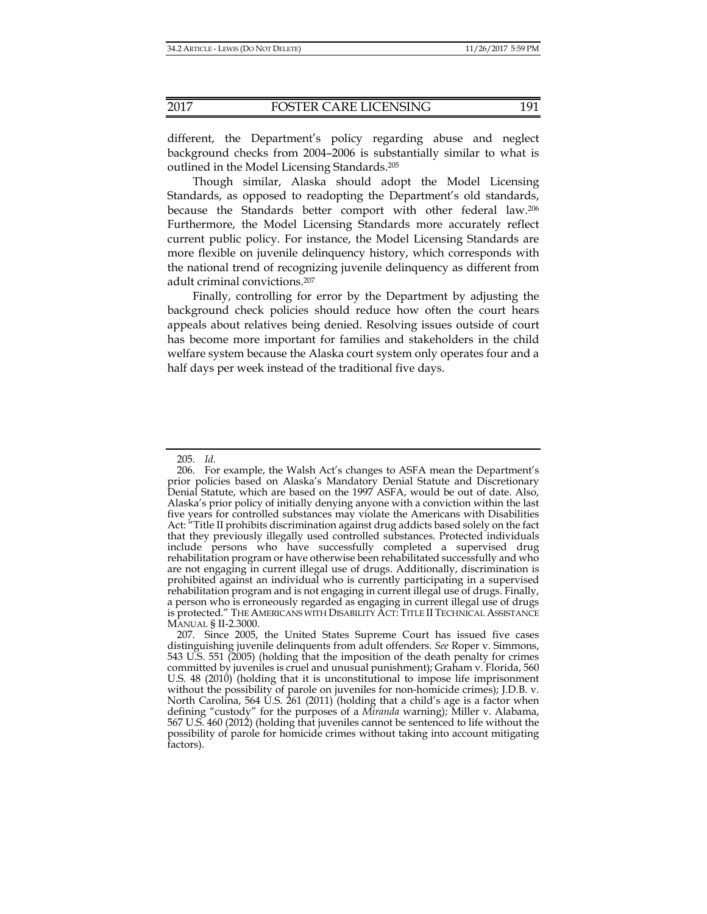different, the Department's policy regarding abuse and neglect background checks from 2004–2006 is substantially similar to what is outlined in the Model Licensing Standards.205

Though similar, Alaska should adopt the Model Licensing Standards, as opposed to readopting the Department's old standards, because the Standards better comport with other federal law.206 Furthermore, the Model Licensing Standards more accurately reflect current public policy. For instance, the Model Licensing Standards are more flexible on juvenile delinquency history, which corresponds with the national trend of recognizing juvenile delinquency as different from adult criminal convictions.207

Finally, controlling for error by the Department by adjusting the background check policies should reduce how often the court hears appeals about relatives being denied. Resolving issues outside of court has become more important for families and stakeholders in the child welfare system because the Alaska court system only operates four and a half days per week instead of the traditional five days.

 <sup>205.</sup> *Id.*

 <sup>206.</sup> For example, the Walsh Act's changes to ASFA mean the Department's prior policies based on Alaska's Mandatory Denial Statute and Discretionary Denial Statute, which are based on the 1997 ASFA, would be out of date. Also, Alaska's prior policy of initially denying anyone with a conviction within the last five years for controlled substances may violate the Americans with Disabilities Act: "Title II prohibits discrimination against drug addicts based solely on the fact that they previously illegally used controlled substances. Protected individuals include persons who have successfully completed a supervised drug rehabilitation program or have otherwise been rehabilitated successfully and who are not engaging in current illegal use of drugs. Additionally, discrimination is prohibited against an individual who is currently participating in a supervised rehabilitation program and is not engaging in current illegal use of drugs. Finally, a person who is erroneously regarded as engaging in current illegal use of drugs is protected." THE AMERICANS WITH DISABILITY ACT: TITLE II TECHNICAL ASSISTANCE MANUAL § II-2.3000.

 <sup>207.</sup> Since 2005, the United States Supreme Court has issued five cases distinguishing juvenile delinquents from adult offenders. *See* Roper v. Simmons, 543 U.S. 551 (2005) (holding that the imposition of the death penalty for crimes committed by juveniles is cruel and unusual punishment); Graham v. Florida, 560 U.S. 48 (2010) (holding that it is unconstitutional to impose life imprisonment without the possibility of parole on juveniles for non-homicide crimes); J.D.B. v. North Carolina, 564 U.S. 261 (2011) (holding that a child's age is a factor when defining "custody" for the purposes of a *Miranda* warning); Miller v. Alabama, 567 U.S. 460 (2012) (holding that juveniles cannot be sentenced to life without the possibility of parole for homicide crimes without taking into account mitigating factors).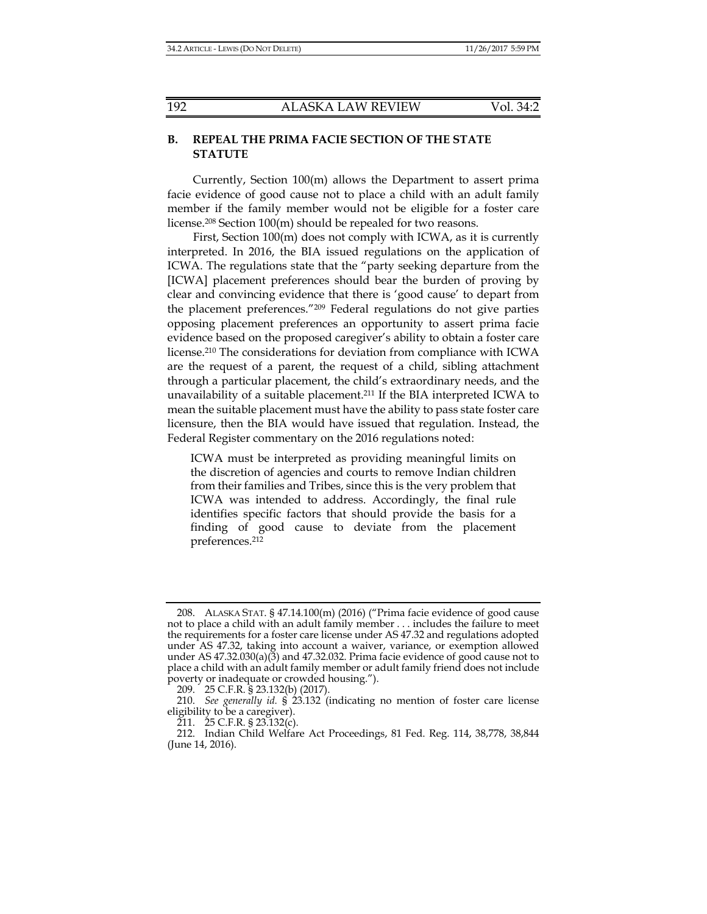## **B. REPEAL THE PRIMA FACIE SECTION OF THE STATE STATUTE**

Currently, Section 100(m) allows the Department to assert prima facie evidence of good cause not to place a child with an adult family member if the family member would not be eligible for a foster care license.208 Section 100(m) should be repealed for two reasons.

First, Section 100(m) does not comply with ICWA, as it is currently interpreted. In 2016, the BIA issued regulations on the application of ICWA. The regulations state that the "party seeking departure from the [ICWA] placement preferences should bear the burden of proving by clear and convincing evidence that there is 'good cause' to depart from the placement preferences."209 Federal regulations do not give parties opposing placement preferences an opportunity to assert prima facie evidence based on the proposed caregiver's ability to obtain a foster care license.210 The considerations for deviation from compliance with ICWA are the request of a parent, the request of a child, sibling attachment through a particular placement, the child's extraordinary needs, and the unavailability of a suitable placement.211 If the BIA interpreted ICWA to mean the suitable placement must have the ability to pass state foster care licensure, then the BIA would have issued that regulation. Instead, the Federal Register commentary on the 2016 regulations noted:

ICWA must be interpreted as providing meaningful limits on the discretion of agencies and courts to remove Indian children from their families and Tribes, since this is the very problem that ICWA was intended to address. Accordingly, the final rule identifies specific factors that should provide the basis for a finding of good cause to deviate from the placement preferences.212

 <sup>208.</sup> ALASKA STAT. § 47.14.100(m) (2016) ("Prima facie evidence of good cause not to place a child with an adult family member . . . includes the failure to meet the requirements for a foster care license under AS 47.32 and regulations adopted under AS 47.32, taking into account a waiver, variance, or exemption allowed under AS 47.32.030(a)(3) and 47.32.032. Prima facie evidence of good cause not to place a child with an adult family member or adult family friend does not include poverty or inadequate or crowded housing.").

 <sup>209. 25</sup> C.F.R. § 23.132(b) (2017).

 <sup>210.</sup> *See generally id.* § 23.132 (indicating no mention of foster care license eligibility to be a caregiver).

 $211.$   $25$  C.F.R. §  $23.132(c)$ .

 <sup>212.</sup> Indian Child Welfare Act Proceedings, 81 Fed. Reg. 114, 38,778, 38,844 (June 14, 2016).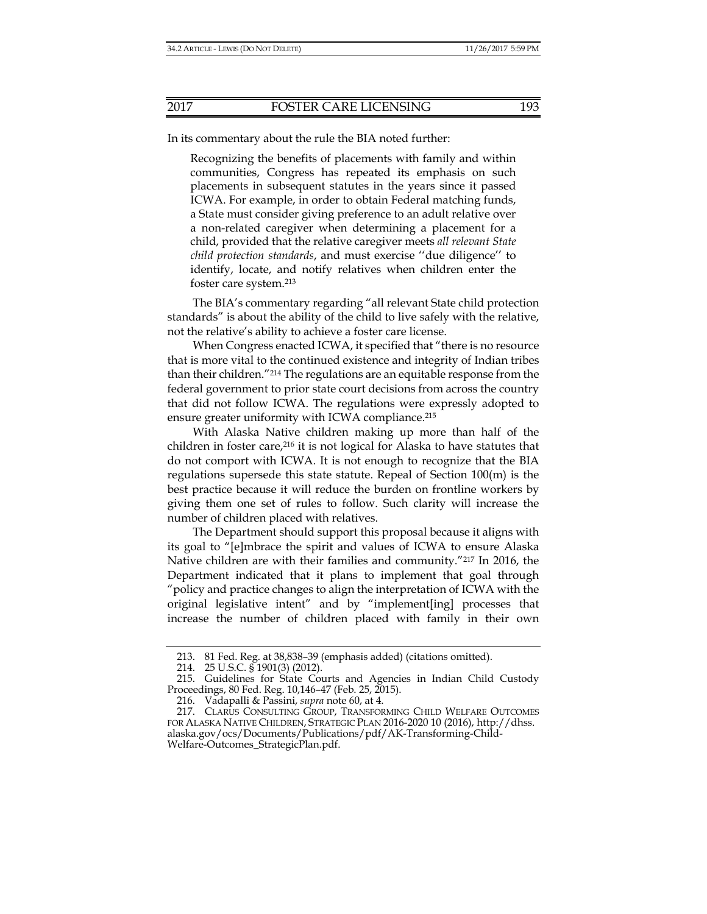In its commentary about the rule the BIA noted further:

Recognizing the benefits of placements with family and within communities, Congress has repeated its emphasis on such placements in subsequent statutes in the years since it passed ICWA. For example, in order to obtain Federal matching funds, a State must consider giving preference to an adult relative over a non-related caregiver when determining a placement for a child, provided that the relative caregiver meets *all relevant State child protection standards*, and must exercise ''due diligence'' to identify, locate, and notify relatives when children enter the foster care system.213

The BIA's commentary regarding "all relevant State child protection standards" is about the ability of the child to live safely with the relative, not the relative's ability to achieve a foster care license.

When Congress enacted ICWA, it specified that "there is no resource that is more vital to the continued existence and integrity of Indian tribes than their children."214 The regulations are an equitable response from the federal government to prior state court decisions from across the country that did not follow ICWA. The regulations were expressly adopted to ensure greater uniformity with ICWA compliance.<sup>215</sup>

With Alaska Native children making up more than half of the children in foster care,216 it is not logical for Alaska to have statutes that do not comport with ICWA. It is not enough to recognize that the BIA regulations supersede this state statute. Repeal of Section 100(m) is the best practice because it will reduce the burden on frontline workers by giving them one set of rules to follow. Such clarity will increase the number of children placed with relatives.

The Department should support this proposal because it aligns with its goal to "[e]mbrace the spirit and values of ICWA to ensure Alaska Native children are with their families and community."217 In 2016, the Department indicated that it plans to implement that goal through "policy and practice changes to align the interpretation of ICWA with the original legislative intent" and by "implement[ing] processes that increase the number of children placed with family in their own

 <sup>213. 81</sup> Fed. Reg. at 38,838–39 (emphasis added) (citations omitted).

 <sup>214. 25</sup> U.S.C. § 1901(3) (2012).

 <sup>215.</sup> Guidelines for State Courts and Agencies in Indian Child Custody Proceedings, 80 Fed. Reg. 10,146–47 (Feb. 25, 2015).

 <sup>216.</sup> Vadapalli & Passini, *supra* note 60, at 4.

 <sup>217.</sup> CLARUS CONSULTING GROUP, TRANSFORMING CHILD WELFARE OUTCOMES FOR ALASKA NATIVE CHILDREN, STRATEGIC PLAN 2016-2020 10 (2016), http://dhss. alaska.gov/ocs/Documents/Publications/pdf/AK-Transforming-Child-Welfare-Outcomes\_StrategicPlan.pdf.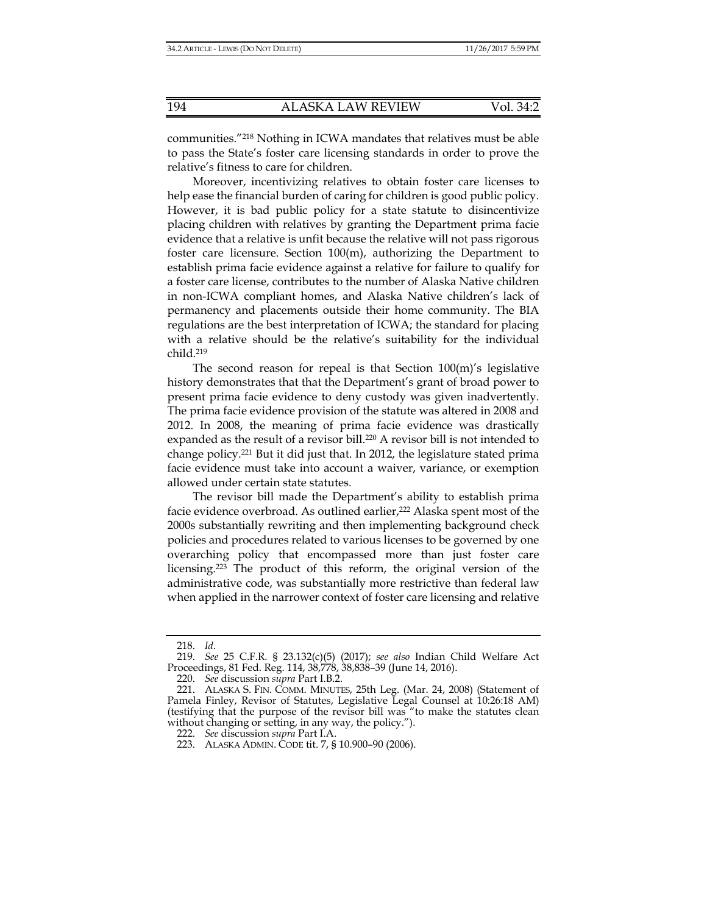communities."218 Nothing in ICWA mandates that relatives must be able to pass the State's foster care licensing standards in order to prove the relative's fitness to care for children.

Moreover, incentivizing relatives to obtain foster care licenses to help ease the financial burden of caring for children is good public policy. However, it is bad public policy for a state statute to disincentivize placing children with relatives by granting the Department prima facie evidence that a relative is unfit because the relative will not pass rigorous foster care licensure. Section 100(m), authorizing the Department to establish prima facie evidence against a relative for failure to qualify for a foster care license, contributes to the number of Alaska Native children in non-ICWA compliant homes, and Alaska Native children's lack of permanency and placements outside their home community. The BIA regulations are the best interpretation of ICWA; the standard for placing with a relative should be the relative's suitability for the individual child.219

The second reason for repeal is that Section 100(m)'s legislative history demonstrates that that the Department's grant of broad power to present prima facie evidence to deny custody was given inadvertently. The prima facie evidence provision of the statute was altered in 2008 and 2012. In 2008, the meaning of prima facie evidence was drastically expanded as the result of a revisor bill.<sup>220</sup> A revisor bill is not intended to change policy.221 But it did just that. In 2012, the legislature stated prima facie evidence must take into account a waiver, variance, or exemption allowed under certain state statutes.

The revisor bill made the Department's ability to establish prima facie evidence overbroad. As outlined earlier,<sup>222</sup> Alaska spent most of the 2000s substantially rewriting and then implementing background check policies and procedures related to various licenses to be governed by one overarching policy that encompassed more than just foster care licensing.223 The product of this reform, the original version of the administrative code, was substantially more restrictive than federal law when applied in the narrower context of foster care licensing and relative

 <sup>218.</sup> *Id*.

 <sup>219.</sup> *See* 25 C.F.R. § 23.132(c)(5) (2017); *see also* Indian Child Welfare Act Proceedings, 81 Fed. Reg. 114, 38,778, 38,838–39 (June 14, 2016).

 <sup>220.</sup> *See* discussion *supra* Part I.B.2.

 <sup>221.</sup> ALASKA S. FIN. COMM. MINUTES, 25th Leg. (Mar. 24, 2008) (Statement of Pamela Finley, Revisor of Statutes, Legislative Legal Counsel at 10:26:18 AM) (testifying that the purpose of the revisor bill was "to make the statutes clean without changing or setting, in any way, the policy.").

 <sup>222.</sup> *See* discussion *supra* Part I.A.

 <sup>223.</sup> ALASKA ADMIN. CODE tit. 7, § 10.900–90 (2006).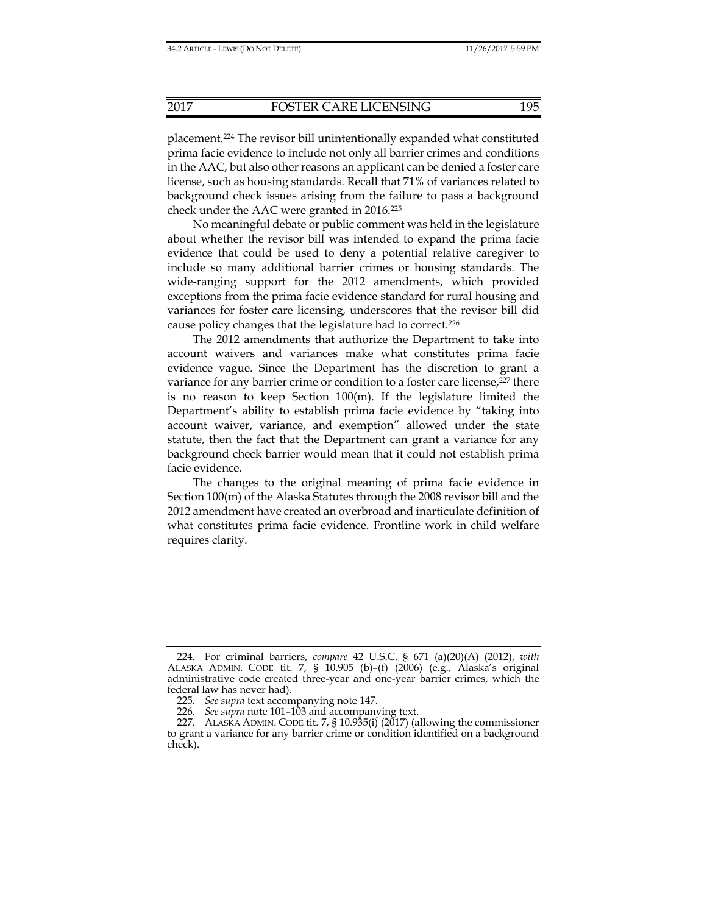placement.224 The revisor bill unintentionally expanded what constituted prima facie evidence to include not only all barrier crimes and conditions in the AAC, but also other reasons an applicant can be denied a foster care license, such as housing standards. Recall that 71% of variances related to background check issues arising from the failure to pass a background check under the AAC were granted in 2016.225

No meaningful debate or public comment was held in the legislature about whether the revisor bill was intended to expand the prima facie evidence that could be used to deny a potential relative caregiver to include so many additional barrier crimes or housing standards. The wide-ranging support for the 2012 amendments, which provided exceptions from the prima facie evidence standard for rural housing and variances for foster care licensing, underscores that the revisor bill did cause policy changes that the legislature had to correct.226

The 2012 amendments that authorize the Department to take into account waivers and variances make what constitutes prima facie evidence vague. Since the Department has the discretion to grant a variance for any barrier crime or condition to a foster care license,<sup>227</sup> there is no reason to keep Section  $100(m)$ . If the legislature limited the Department's ability to establish prima facie evidence by "taking into account waiver, variance, and exemption" allowed under the state statute, then the fact that the Department can grant a variance for any background check barrier would mean that it could not establish prima facie evidence.

The changes to the original meaning of prima facie evidence in Section 100(m) of the Alaska Statutes through the 2008 revisor bill and the 2012 amendment have created an overbroad and inarticulate definition of what constitutes prima facie evidence. Frontline work in child welfare requires clarity.

 <sup>224.</sup> For criminal barriers, *compare* 42 U.S.C. § 671 (a)(20)(A) (2012), *with* ALASKA ADMIN. CODE tit. 7, § 10.905 (b)–(f) (2006) (e.g., Alaska's original administrative code created three-year and one-year barrier crimes, which the federal law has never had).

 <sup>225.</sup> *See supra* text accompanying note 147.

 <sup>226.</sup> *See supra* note 101–103 and accompanying text.

 <sup>227.</sup> ALASKA ADMIN. CODE tit. 7, § 10.935(i) (2017) (allowing the commissioner to grant a variance for any barrier crime or condition identified on a background check).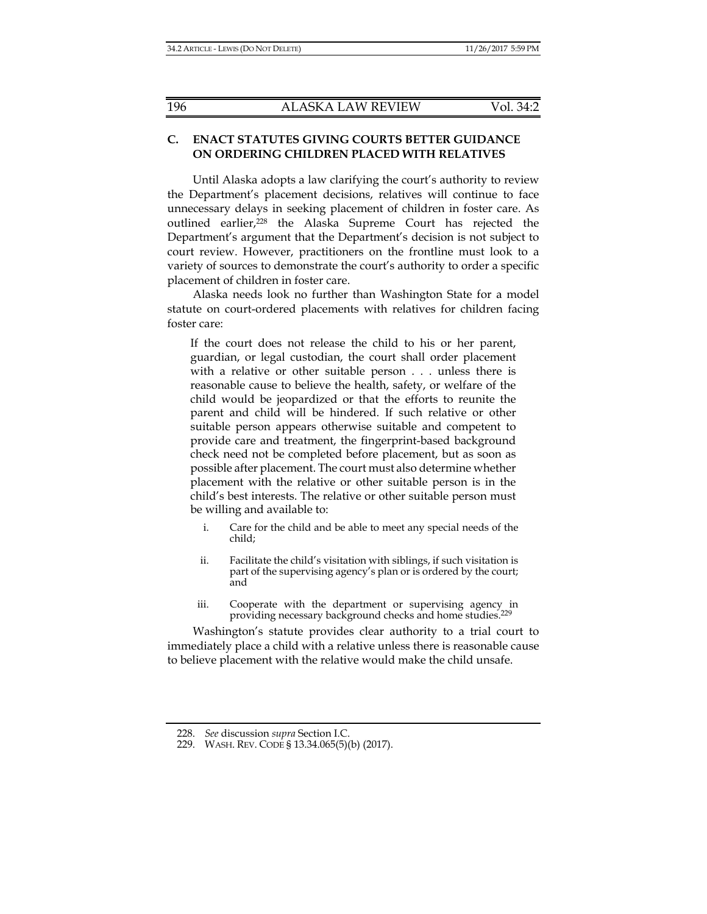## **C. ENACT STATUTES GIVING COURTS BETTER GUIDANCE ON ORDERING CHILDREN PLACED WITH RELATIVES**

Until Alaska adopts a law clarifying the court's authority to review the Department's placement decisions, relatives will continue to face unnecessary delays in seeking placement of children in foster care. As outlined earlier,<sup>228</sup> the Alaska Supreme Court has rejected the Department's argument that the Department's decision is not subject to court review. However, practitioners on the frontline must look to a variety of sources to demonstrate the court's authority to order a specific placement of children in foster care.

Alaska needs look no further than Washington State for a model statute on court-ordered placements with relatives for children facing foster care:

If the court does not release the child to his or her parent, guardian, or legal custodian, the court shall order placement with a relative or other suitable person . . . unless there is reasonable cause to believe the health, safety, or welfare of the child would be jeopardized or that the efforts to reunite the parent and child will be hindered. If such relative or other suitable person appears otherwise suitable and competent to provide care and treatment, the fingerprint-based background check need not be completed before placement, but as soon as possible after placement. The court must also determine whether placement with the relative or other suitable person is in the child's best interests. The relative or other suitable person must be willing and available to:

- i. Care for the child and be able to meet any special needs of the child;
- ii. Facilitate the child's visitation with siblings, if such visitation is part of the supervising agency's plan or is ordered by the court; and
- iii. Cooperate with the department or supervising agency in providing necessary background checks and home studies.229

Washington's statute provides clear authority to a trial court to immediately place a child with a relative unless there is reasonable cause to believe placement with the relative would make the child unsafe.

 <sup>228.</sup> *See* discussion *supra* Section I.C.

 <sup>229.</sup> WASH. REV. CODE § 13.34.065(5)(b) (2017).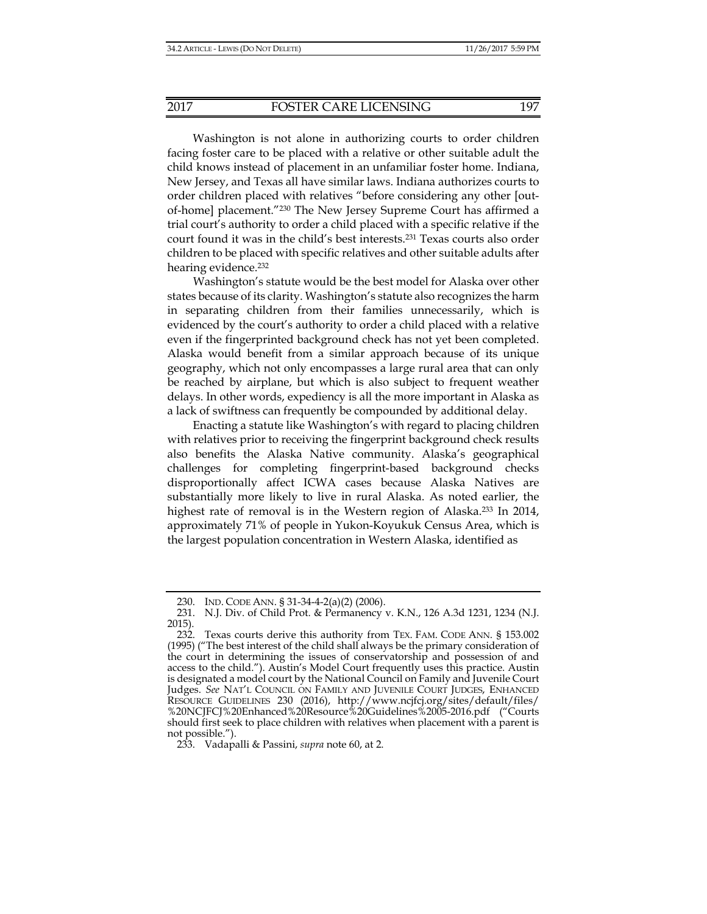Washington is not alone in authorizing courts to order children facing foster care to be placed with a relative or other suitable adult the child knows instead of placement in an unfamiliar foster home. Indiana, New Jersey, and Texas all have similar laws. Indiana authorizes courts to order children placed with relatives "before considering any other [outof-home] placement."230 The New Jersey Supreme Court has affirmed a trial court's authority to order a child placed with a specific relative if the court found it was in the child's best interests.231 Texas courts also order children to be placed with specific relatives and other suitable adults after hearing evidence.<sup>232</sup>

Washington's statute would be the best model for Alaska over other states because of its clarity. Washington's statute also recognizes the harm in separating children from their families unnecessarily, which is evidenced by the court's authority to order a child placed with a relative even if the fingerprinted background check has not yet been completed. Alaska would benefit from a similar approach because of its unique geography, which not only encompasses a large rural area that can only be reached by airplane, but which is also subject to frequent weather delays. In other words, expediency is all the more important in Alaska as a lack of swiftness can frequently be compounded by additional delay.

Enacting a statute like Washington's with regard to placing children with relatives prior to receiving the fingerprint background check results also benefits the Alaska Native community. Alaska's geographical challenges for completing fingerprint-based background checks disproportionally affect ICWA cases because Alaska Natives are substantially more likely to live in rural Alaska. As noted earlier, the highest rate of removal is in the Western region of Alaska.<sup>233</sup> In 2014, approximately 71% of people in Yukon-Koyukuk Census Area, which is the largest population concentration in Western Alaska, identified as

 <sup>230.</sup> IND. CODE ANN. § 31-34-4-2(a)(2) (2006).

 <sup>231.</sup> N.J. Div. of Child Prot. & Permanency v. K.N., 126 A.3d 1231, 1234 (N.J. 2015).

 <sup>232.</sup> Texas courts derive this authority from TEX. FAM. CODE ANN. § 153.002 (1995) ("The best interest of the child shall always be the primary consideration of the court in determining the issues of conservatorship and possession of and access to the child."). Austin's Model Court frequently uses this practice. Austin is designated a model court by the National Council on Family and Juvenile Court Judges. *See* NAT'L COUNCIL ON FAMILY AND JUVENILE COURT JUDGES, ENHANCED RESOURCE GUIDELINES 230 (2016), http://www.ncjfcj.org/sites/default/files/ %20NCJFCJ%20Enhanced%20Resource%20Guidelines%2005-2016.pdf ("Courts should first seek to place children with relatives when placement with a parent is not possible.").

 <sup>233.</sup> Vadapalli & Passini, *supra* note 60, at 2.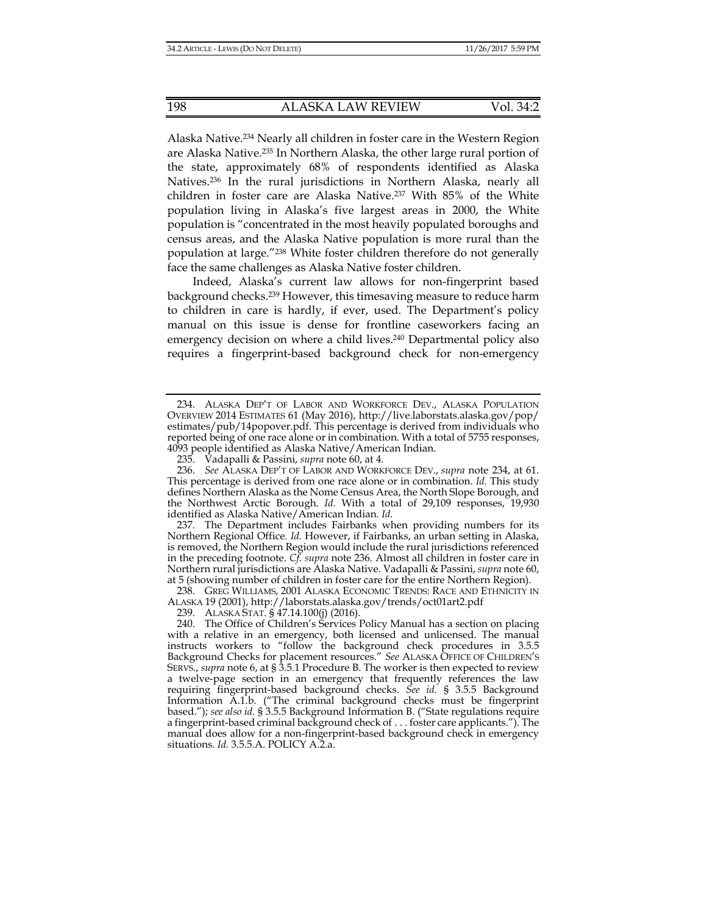Alaska Native.234 Nearly all children in foster care in the Western Region are Alaska Native.235 In Northern Alaska, the other large rural portion of the state, approximately 68% of respondents identified as Alaska Natives.236 In the rural jurisdictions in Northern Alaska, nearly all children in foster care are Alaska Native.237 With 85% of the White population living in Alaska's five largest areas in 2000, the White population is "concentrated in the most heavily populated boroughs and census areas, and the Alaska Native population is more rural than the population at large."238 White foster children therefore do not generally face the same challenges as Alaska Native foster children.

Indeed, Alaska's current law allows for non-fingerprint based background checks.239 However, this timesaving measure to reduce harm to children in care is hardly, if ever, used. The Department's policy manual on this issue is dense for frontline caseworkers facing an emergency decision on where a child lives.<sup>240</sup> Departmental policy also requires a fingerprint-based background check for non-emergency

 236. *See* ALASKA DEP'T OF LABOR AND WORKFORCE DEV., *supra* note 234, at 61. This percentage is derived from one race alone or in combination. *Id.* This study defines Northern Alaska as the Nome Census Area, the North Slope Borough, and the Northwest Arctic Borough. *Id.* With a total of 29,109 responses, 19,930 identified as Alaska Native/American Indian. *Id.* 

 237. The Department includes Fairbanks when providing numbers for its Northern Regional Office. *Id.* However, if Fairbanks, an urban setting in Alaska, is removed, the Northern Region would include the rural jurisdictions referenced in the preceding footnote. *Cf. supra* note 236*.* Almost all children in foster care in Northern rural jurisdictions are Alaska Native. Vadapalli & Passini, *supra* note 60, at 5 (showing number of children in foster care for the entire Northern Region).

 238. GREG WILLIAMS, 2001 ALASKA ECONOMIC TRENDS: RACE AND ETHNICITY IN ALASKA 19 (2001), http://laborstats.alaska.gov/trends/oct01art2.pdf

239. ALASKA STAT. § 47.14.100(j) (2016).

 <sup>234.</sup> ALASKA DEP'T OF LABOR AND WORKFORCE DEV., ALASKA POPULATION OVERVIEW 2014 ESTIMATES 61 (May 2016), http://live.laborstats.alaska.gov/pop/ estimates/pub/14popover.pdf. This percentage is derived from individuals who reported being of one race alone or in combination. With a total of 5755 responses, 4093 people identified as Alaska Native/American Indian.

 <sup>235.</sup> Vadapalli & Passini, *supra* note 60, at 4.

 <sup>240.</sup> The Office of Children's Services Policy Manual has a section on placing with a relative in an emergency, both licensed and unlicensed. The manual instructs workers to "follow the background check procedures in 3.5.5 Background Checks for placement resources." *See* ALASKA OFFICE OF CHILDREN'S SERVS., *supra* note 6, at § 3.5.1 Procedure B. The worker is then expected to review a twelve-page section in an emergency that frequently references the law requiring fingerprint-based background checks. *See id.* § 3.5.5 Background Information A.1.b. ("The criminal background checks must be fingerprint based."); *see also id.* § 3.5.5 Background Information B. ("State regulations require a fingerprint-based criminal background check of . . . foster care applicants."). The manual does allow for a non-fingerprint-based background check in emergency situations. *Id.* 3.5.5.A. POLICY A.2.a.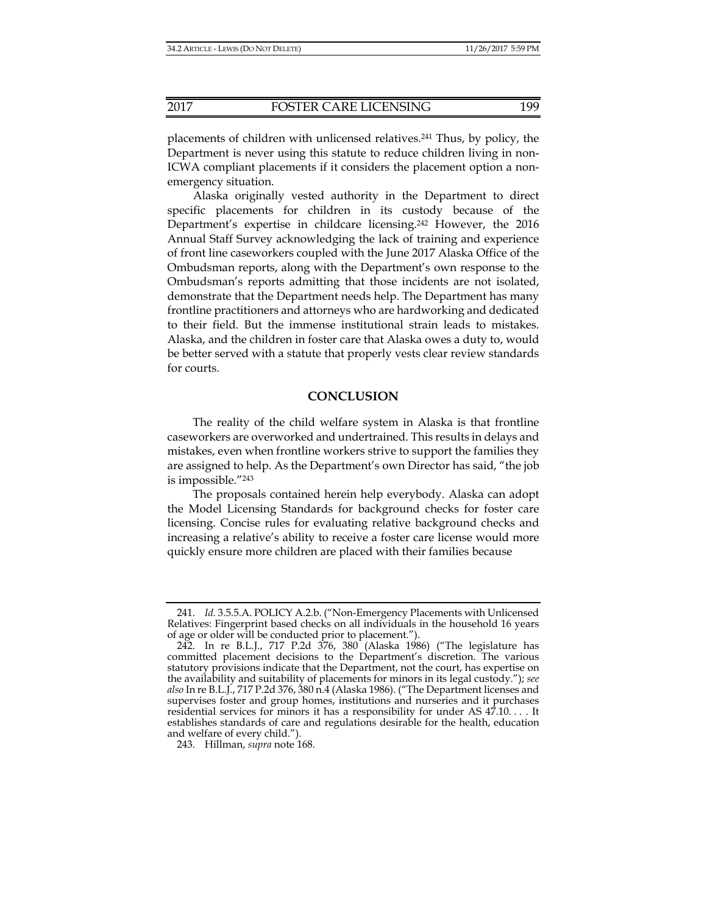placements of children with unlicensed relatives.241 Thus, by policy, the Department is never using this statute to reduce children living in non-ICWA compliant placements if it considers the placement option a nonemergency situation.

Alaska originally vested authority in the Department to direct specific placements for children in its custody because of the Department's expertise in childcare licensing.242 However, the 2016 Annual Staff Survey acknowledging the lack of training and experience of front line caseworkers coupled with the June 2017 Alaska Office of the Ombudsman reports, along with the Department's own response to the Ombudsman's reports admitting that those incidents are not isolated, demonstrate that the Department needs help. The Department has many frontline practitioners and attorneys who are hardworking and dedicated to their field. But the immense institutional strain leads to mistakes. Alaska, and the children in foster care that Alaska owes a duty to, would be better served with a statute that properly vests clear review standards for courts.

#### **CONCLUSION**

The reality of the child welfare system in Alaska is that frontline caseworkers are overworked and undertrained. This results in delays and mistakes, even when frontline workers strive to support the families they are assigned to help. As the Department's own Director has said, "the job is impossible."243

The proposals contained herein help everybody. Alaska can adopt the Model Licensing Standards for background checks for foster care licensing. Concise rules for evaluating relative background checks and increasing a relative's ability to receive a foster care license would more quickly ensure more children are placed with their families because

243. Hillman, *supra* note 168.

 <sup>241.</sup> *Id.* 3.5.5.A. POLICY A.2.b. ("Non-Emergency Placements with Unlicensed Relatives: Fingerprint based checks on all individuals in the household 16 years of age or older will be conducted prior to placement.").

 <sup>242.</sup> In re B.L.J., 717 P.2d 376, 380 (Alaska 1986) ("The legislature has committed placement decisions to the Department's discretion. The various statutory provisions indicate that the Department, not the court, has expertise on the availability and suitability of placements for minors in its legal custody."); *see also* In re B.L.J*.*, 717 P.2d 376, 380 n.4 (Alaska 1986). ("The Department licenses and supervises foster and group homes, institutions and nurseries and it purchases residential services for minors it has a responsibility for under AS 47.10. . . . It establishes standards of care and regulations desirable for the health, education and welfare of every child.").